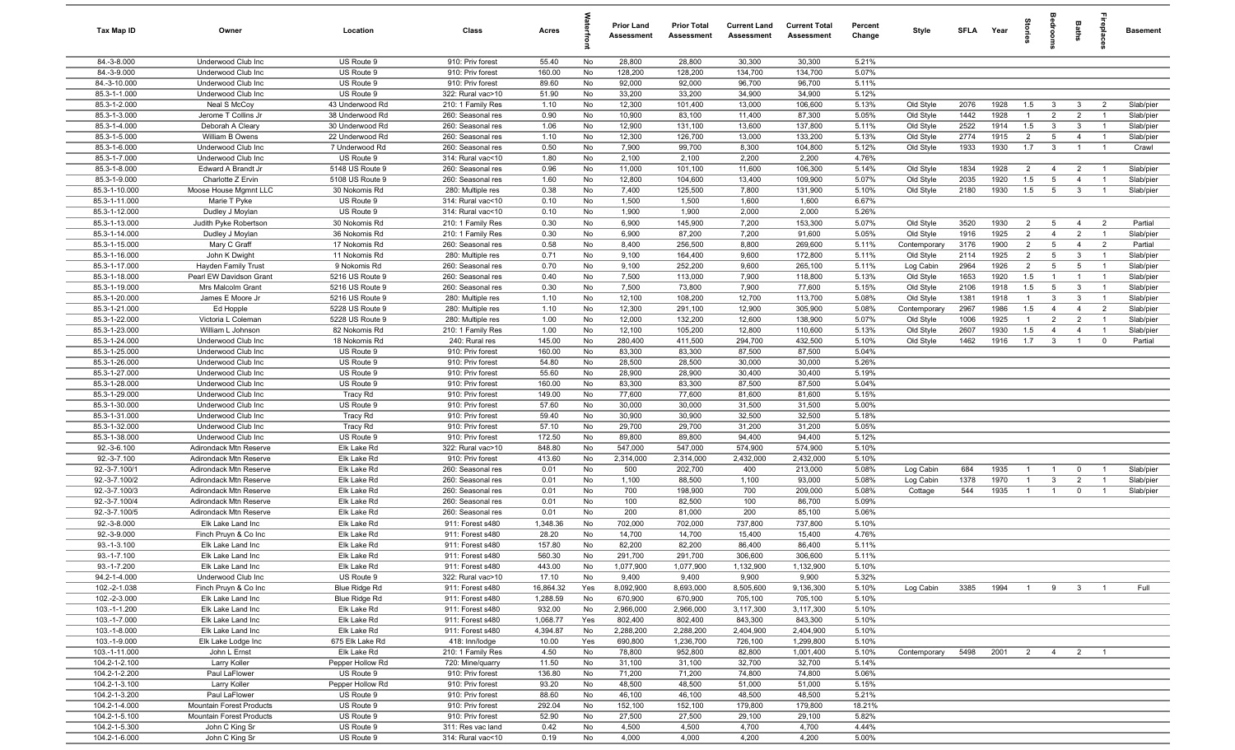| Tax Map ID                     | Owner                                        | Location                           | Class                                  | Acres           |          | <b>Prior Land</b><br>Assessment | <b>Prior Total</b><br>Assessment | <b>Current Land</b><br>Assessment | <b>Current Total</b><br><b>Assessment</b> | Percent<br>Change | Style                  | SFLA Year    |              | tories                |                                   | <b>Baths</b>                   | repla                            | <b>Basement</b>        |
|--------------------------------|----------------------------------------------|------------------------------------|----------------------------------------|-----------------|----------|---------------------------------|----------------------------------|-----------------------------------|-------------------------------------------|-------------------|------------------------|--------------|--------------|-----------------------|-----------------------------------|--------------------------------|----------------------------------|------------------------|
| 84.-3-8.000                    | Underwood Club Inc                           | US Route 9                         | 910: Priv forest                       | 55.40           | No       | 28,800                          | 28,800                           | 30,300                            | 30,300                                    | 5.21%             |                        |              |              |                       |                                   |                                |                                  |                        |
| 84.-3-9.000                    | Underwood Club Inc                           | US Route 9                         | 910: Priv forest                       | 160.00          | No       | 128,200                         | 128,200                          | 134,700                           | 134,700                                   | 5.07%             |                        |              |              |                       |                                   |                                |                                  |                        |
| 84.-3-10.000                   | Underwood Club Inc                           | US Route 9                         | 910: Priv forest                       | 89.60           | No       | 92,000                          | 92,000                           | 96,700                            | 96,700                                    | 5.11%             |                        |              |              |                       |                                   |                                |                                  |                        |
| 85.3-1-1.000                   | Underwood Club Inc                           | US Route 9                         | 322: Rural vac>10                      | 51.90           | No       | 33,200                          | 33,200                           | 34,900                            | 34,900                                    | 5.12%             |                        |              |              |                       |                                   |                                |                                  |                        |
| 85.3-1-2.000                   | Neal S McCoy                                 | 43 Underwood Rd                    | 210: 1 Family Res                      | 1.10            | No       | 12,300                          | 101,400                          | 13,000                            | 106,600                                   | 5.13%             | Old Style              | 2076         | 1928         | 1.5                   | $\mathbf{3}$                      | $\mathbf{3}$                   | $\overline{2}$                   | Slab/pier              |
| 85.3-1-3.000<br>85.3-1-4.000   | Jerome T Collins Jr<br>Deborah A Cleary      | 38 Underwood Rd                    | 260: Seasonal res<br>260: Seasonal res | 0.90<br>1.06    | No       | 10,900<br>12,900                | 83,100                           | 11,400<br>13,600                  | 87,300<br>137,800                         | 5.05%<br>5.11%    | Old Style              | 1442<br>2522 | 1928<br>1914 | $\overline{1}$        | $\overline{2}$<br>$\mathbf{3}$    | $\overline{2}$<br>$\mathbf{3}$ | $\mathbf{1}$                     | Slab/pier              |
| 85.3-1-5.000                   | William B Owens                              | 30 Underwood Rd<br>22 Underwood Rd | 260: Seasonal res                      | 1.10            | No<br>No | 12,300                          | 131,100<br>126,700               | 13,000                            | 133,200                                   | 5.13%             | Old Style<br>Old Style | 2774         | 1915         | 1.5<br>$\overline{2}$ | 5                                 | $\overline{4}$                 | $\overline{1}$<br>$\overline{1}$ | Slab/pier<br>Slab/pier |
| 85.3-1-6.000                   | Underwood Club Inc                           | 7 Underwood Rd                     | 260: Seasonal res                      | 0.50            | No       | 7,900                           | 99,700                           | 8,300                             | 104,800                                   | 5.12%             | Old Style              | 1933         | 1930         | 1.7                   | $\mathbf{3}$                      | $\overline{1}$                 | $\overline{1}$                   | Crawl                  |
| 85.3-1-7.000                   | Underwood Club Inc                           | US Route 9                         | 314: Rural vac<10                      | 1.80            | No       | 2,100                           | 2,100                            | 2,200                             | 2,200                                     | 4.76%             |                        |              |              |                       |                                   |                                |                                  |                        |
| 85.3-1-8.000                   | Edward A Brandt Jr                           | 5148 US Route 9                    | 260: Seasonal res                      | 0.96            | No       | 11,000                          | 101,100                          | 11,600                            | 106,300                                   | 5.14%             | Old Style              | 1834         | 1928         | 2                     | $\overline{4}$                    | 2                              | $\overline{1}$                   | Slab/pier              |
| 85.3-1-9.000                   | Charlotte Z Ervin                            | 5108 US Route 9                    | 260: Seasonal res                      | 1.60            | No       | 12,800                          | 104,600                          | 13,400                            | 109,900                                   | 5.07%             | Old Style              | 2035         | 1920         | 1.5                   | 5                                 | $\overline{4}$                 | $\overline{1}$                   | Slab/pier              |
| 85.3-1-10.000                  | Moose House Mgmnt LLC                        | 30 Nokomis Rd                      | 280: Multiple res                      | 0.38            | No       | 7,400                           | 125,500                          | 7,800                             | 131,900                                   | 5.10%             | Old Style              | 2180         | 1930         | 1.5                   | $5\overline{5}$                   | $\mathbf{3}$                   | $\overline{1}$                   | Slab/pier              |
| 85.3-1-11.000                  | Marie T Pyke                                 | US Route 9                         | 314: Rural vac<10                      | 0.10            | No       | 1,500                           | 1,500                            | 1,600                             | 1,600                                     | 6.67%             |                        |              |              |                       |                                   |                                |                                  |                        |
| 85.3-1-12.000                  | Dudley J Moylan                              | US Route 9                         | 314: Rural vac<10                      | 0.10            | No       | 1,900                           | 1,900                            | 2,000                             | 2,000                                     | 5.26%             |                        |              |              |                       |                                   |                                |                                  |                        |
| 85.3-1-13.000                  | Judith Pyke Robertson                        | 30 Nokomis Rd                      | 210: 1 Family Res                      | 0.30            | No       | 6,900                           | 145,900                          | 7,200                             | 153,300                                   | 5.07%             | Old Style              | 3520         | 1930         | $\overline{2}$        | 5                                 | $\overline{4}$                 | $\overline{2}$                   | Partial                |
| 85.3-1-14.000                  | Dudley J Moylan                              | 36 Nokomis Rd                      | 210: 1 Family Res                      | 0.30            | No       | 6,900                           | 87,200                           | 7,200                             | 91,600                                    | 5.05%             | Old Style              | 1916         | 1925         | $\overline{2}$        | $\overline{4}$                    | $\overline{2}$                 |                                  | Slab/pier              |
| 85.3-1-15.000                  | Mary C Graff                                 | 17 Nokomis Rd                      | 260: Seasonal res                      | 0.58            | No       | 8,400                           | 256,500                          | 8,800                             | 269,600                                   | 5.11%             | Contemporary           | 3176         | 1900         | $\overline{2}$        | $5\overline{5}$                   | $\overline{4}$                 | $\overline{2}$                   | Partial                |
| 85.3-1-16.000                  | John K Dwight                                | 11 Nokomis Rd                      | 280: Multiple res                      | 0.71            | No       | 9,100                           | 164,400                          | 9,600                             | 172,800                                   | 5.11%             | Old Style              | 2114         | 1925         | $\overline{2}$        | 5                                 | -3                             |                                  | Slab/pier              |
| 85.3-1-17.000<br>85.3-1-18.000 | Hayden Family Trust                          | 9 Nokomis Rd                       | 260: Seasonal res<br>260: Seasonal res | 0.70            | No       | 9,100                           | 252,200                          | 9,600                             | 265,100                                   | 5.11%             | Log Cabin              | 2964         | 1926         | $\overline{2}$        | $5\overline{5}$<br>$\overline{1}$ | 5<br>$\overline{1}$            | $\overline{1}$<br>$\overline{1}$ | Slab/pier              |
| 85.3-1-19.000                  | Pearl EW Davidson Grant<br>Mrs Malcolm Grant | 5216 US Route 9<br>5216 US Route 9 | 260: Seasonal res                      | 0.40<br>0.30    | No<br>No | 7,500<br>7,500                  | 113,000<br>73,800                | 7,900<br>7,900                    | 118,800<br>77,600                         | 5.13%<br>5.15%    | Old Style<br>Old Style | 1653<br>2106 | 1920<br>1918 | 1.5<br>1.5            | 5                                 | $\mathbf{3}$                   | $\overline{1}$                   | Slab/pier<br>Slab/pier |
| 85.3-1-20.000                  | James E Moore Jr                             | 5216 US Route 9                    | 280: Multiple res                      | 1.10            | No       | 12,100                          | 108,200                          | 12,700                            | 113,700                                   | 5.08%             | Old Style              | 1381         | 1918         | $\overline{1}$        | $\mathbf{3}$                      | $\mathbf{3}$                   | $\overline{1}$                   | Slab/pier              |
| 85.3-1-21.000                  | Ed Hopple                                    | 5228 US Route 9                    | 280: Multiple res                      | 1.10            | No       | 12,300                          | 291,100                          | 12,900                            | 305,900                                   | 5.08%             | Contemporary           | 2967         | 1986         | 1.5                   | $\overline{4}$                    | $\overline{4}$                 | $\overline{2}$                   | Slab/pier              |
| 85.3-1-22.000                  | Victoria L Coleman                           | 5228 US Route 9                    | 280: Multiple res                      | 1.00            | No       | 12,000                          | 132,200                          | 12,600                            | 138,900                                   | 5.07%             | Old Style              | 1006         | 1925         | $\overline{1}$        | 2                                 | 2                              | $\overline{1}$                   | Slab/pier              |
| 85.3-1-23.000                  | William L Johnson                            | 82 Nokomis Rd                      | 210: 1 Family Res                      | 1.00            | No       | 12,100                          | 105,200                          | 12,800                            | 110,600                                   | 5.13%             | Old Style              | 2607         | 1930         | 1.5                   | $\overline{4}$                    | $\overline{4}$                 | $\overline{1}$                   | Slab/pier              |
| 85.3-1-24.000                  | Underwood Club Inc                           | 18 Nokomis Rd                      | 240: Rural res                         | 145.00          | No       | 280,400                         | 411,500                          | 294,700                           | 432,500                                   | 5.10%             | Old Style              | 1462         | 1916         | 1.7                   | $\mathbf{3}$                      | $\overline{1}$                 | $\mathbf 0$                      | Partial                |
| 85.3-1-25.000                  | Underwood Club Inc                           | US Route 9                         | 910: Priv forest                       | 160.00          | No       | 83,300                          | 83,300                           | 87,500                            | 87,500                                    | 5.04%             |                        |              |              |                       |                                   |                                |                                  |                        |
| 85.3-1-26.000                  | Underwood Club Inc                           | US Route 9                         | 910: Priv forest                       | 54.80           | No       | 28,500                          | 28,500                           | 30,000                            | 30,000                                    | 5.26%             |                        |              |              |                       |                                   |                                |                                  |                        |
| 85.3-1-27.000                  | Underwood Club Inc                           | US Route 9                         | 910: Priv forest                       | 55.60           | No       | 28,900                          | 28,900                           | 30,400                            | 30,400                                    | 5.19%             |                        |              |              |                       |                                   |                                |                                  |                        |
| 85.3-1-28.000                  | Underwood Club Inc                           | US Route 9                         | 910: Priv forest                       | 160.00          | No       | 83,300                          | 83,300                           | 87,500                            | 87,500                                    | 5.04%             |                        |              |              |                       |                                   |                                |                                  |                        |
| 85.3-1-29.000                  | Underwood Club Inc                           | <b>Tracy Rd</b>                    | 910: Priv forest                       | 149.00          | No       | 77,600                          | 77,600                           | 81,600                            | 81,600                                    | 5.15%             |                        |              |              |                       |                                   |                                |                                  |                        |
| 85.3-1-30.000                  | Underwood Club Inc                           | US Route 9                         | 910: Priv forest                       | 57.60           | No       | 30,000                          | 30,000                           | 31,500                            | 31,500                                    | 5.00%             |                        |              |              |                       |                                   |                                |                                  |                        |
| 85.3-1-31.000                  | Underwood Club Inc                           | Tracy Rd                           | 910: Priv forest                       | 59.40           | No       | 30,900                          | 30,900                           | 32,500                            | 32,500                                    | 5.18%             |                        |              |              |                       |                                   |                                |                                  |                        |
| 85.3-1-32.000<br>85.3-1-38.000 | Underwood Club Inc<br>Underwood Club Inc     | Tracy Rd<br>US Route 9             | 910: Priv forest<br>910: Priv forest   | 57.10<br>172.50 | No<br>No | 29,700<br>89,800                | 29,700<br>89,800                 | 31,200<br>94,400                  | 31,200<br>94,400                          | 5.05%<br>5.12%    |                        |              |              |                       |                                   |                                |                                  |                        |
| 92.-3-6.100                    | Adirondack Mtn Reserve                       | Elk Lake Rd                        | 322: Rural vac>10                      | 848.80          | No       | 547,000                         | 547,000                          | 574,900                           | 574,900                                   | 5.10%             |                        |              |              |                       |                                   |                                |                                  |                        |
| $\overline{92}$ -3-7.100       | Adirondack Mtn Reserve                       | Elk Lake Rd                        | 910: Priv forest                       | 413.60          | No       | 2,314,000                       | 2,314,000                        | 2,432,000                         | 2,432,000                                 | 5.10%             |                        |              |              |                       |                                   |                                |                                  |                        |
| 92.-3-7.100/1                  | Adirondack Mtn Reserve                       | Elk Lake Rd                        | 260: Seasonal res                      | 0.01            | No       | 500                             | 202,700                          | 400                               | 213,000                                   | 5.08%             | Log Cabin              | 684          | 1935         | $\mathbf{1}$          | $\mathbf{1}$                      | $\mathbf 0$                    |                                  | Slab/pier              |
| 92.-3-7.100/2                  | Adirondack Mtn Reserve                       | Elk Lake Rd                        | 260: Seasonal res                      | 0.01            | No       | 1,100                           | 88,500                           | 1,100                             | 93,000                                    | 5.08%             | Log Cabin              | 1378         | 1970         | -1                    | $\mathbf{3}$                      | $\overline{2}$                 | - 1                              | Slab/pier              |
| 92.-3-7.100/3                  | Adirondack Mtn Reserve                       | Elk Lake Rd                        | 260: Seasonal res                      | 0.01            | No       | 700                             | 198,900                          | 700                               | 209,000                                   | 5.08%             | Cottage                | 544          | 1935         | $\mathbf{1}$          | $\overline{1}$                    | $\mathbf 0$                    |                                  | Slab/pier              |
| 92.-3-7.100/4                  | Adirondack Mtn Reserve                       | Elk Lake Rd                        | 260: Seasonal res                      | 0.01            | No       | 100                             | 82,500                           | 100                               | 86,700                                    | 5.09%             |                        |              |              |                       |                                   |                                |                                  |                        |
| 92.-3-7.100/5                  | Adirondack Mtn Reserve                       | Elk Lake Rd                        | 260: Seasonal res                      | 0.01            | No       | 200                             | 81,000                           | 200                               | 85,100                                    | 5.06%             |                        |              |              |                       |                                   |                                |                                  |                        |
| 92.-3-8.000                    | Elk Lake Land Inc                            | Elk Lake Rd                        | 911: Forest s480                       | 1,348.36        | No       | 702,000                         | 702,000                          | 737,800                           | 737,800                                   | 5.10%             |                        |              |              |                       |                                   |                                |                                  |                        |
| 92.-3-9.000                    | Finch Pruyn & Co Inc                         | Elk Lake Rd                        | 911: Forest s480                       | 28.20           | No       | 14,700                          | 14,700                           | 15,400                            | 15,400                                    | 4.76%             |                        |              |              |                       |                                   |                                |                                  |                        |
| $93.-1-3.100$                  | Elk Lake Land Inc                            | Elk Lake Rd                        | 911: Forest s480                       | 157.80          | No       | 82,200                          | 82,200                           | 86,400                            | 86,400                                    | 5.11%             |                        |              |              |                       |                                   |                                |                                  |                        |
| 93.-1-7.100                    | Elk Lake Land Inc                            | Elk Lake Rd                        | 911: Forest s480                       | 560.30          | No       | 291,700                         | 291,700                          | 306,600                           | 306,600                                   | 5.11%             |                        |              |              |                       |                                   |                                |                                  |                        |
| 93.-1-7.200<br>94.2-1-4.000    | Elk Lake Land Inc<br>Underwood Club Inc      | Elk Lake Rd<br>US Route 9          | 911: Forest s480<br>322: Rural vac>10  | 443.00<br>17.10 | No<br>No | 1,077,900<br>9,400              | 1,077,900<br>9,400               | 1,132,900<br>9,900                | 1,132,900<br>9,900                        | 5.10%<br>5.32%    |                        |              |              |                       |                                   |                                |                                  |                        |
| 102.-2-1.038                   | Finch Pruyn & Co Inc                         | Blue Ridge Rd                      | 911: Forest s480                       | 16,864.32       | Yes      | 8,092,900                       | 8,693,000                        | 8,505,600                         | 9,136,300                                 | 5.10%             | Log Cabin              | 3385         | 1994         | $\overline{1}$        | 9                                 | $\mathbf{3}$                   | $\overline{1}$                   | Full                   |
| 102.-2-3.000                   | Elk Lake Land Inc                            | Blue Ridge Rd                      | 911: Forest s480                       | 1,288.59        | No       | 670,900                         | 670,900                          | 705,100                           | 705,100                                   | 5.10%             |                        |              |              |                       |                                   |                                |                                  |                        |
| 103.-1-1.200                   | Elk Lake Land Inc                            | Elk Lake Rd                        | 911: Forest s480                       | 932.00          | No       | 2,966,000                       | 2,966,000                        | 3,117,300                         | 3,117,300                                 | 5.10%             |                        |              |              |                       |                                   |                                |                                  |                        |
| 103.-1-7.000                   | Elk Lake Land Inc                            | Elk Lake Rd                        | 911: Forest s480                       | 1,068.77        | Yes      | 802,400                         | 802,400                          | 843,300                           | 843,300                                   | 5.10%             |                        |              |              |                       |                                   |                                |                                  |                        |
| 103.-1-8.000                   | Elk Lake Land Inc                            | Elk Lake Rd                        | 911: Forest s480                       | 4,394.87        | No       | 2,288,200                       | 2,288,200                        | 2,404,900                         | 2,404,900                                 | 5.10%             |                        |              |              |                       |                                   |                                |                                  |                        |
| 103.-1-9.000                   | Elk Lake Lodge Inc                           | 675 Elk Lake Rd                    | 418: Inn/lodge                         | 10.00           | Yes      | 690,800                         | 1,236,700                        | 726,100                           | 1,299,800                                 | 5.10%             |                        |              |              |                       |                                   |                                |                                  |                        |
| 103.-1-11.000                  | John L Ernst                                 | Elk Lake Rd                        | 210: 1 Family Res                      | 4.50            | No       | 78,800                          | 952,800                          | 82,800                            | 1,001,400                                 | 5.10%             | Contemporary           | 5498         | 2001         | $\overline{2}$        | $\overline{4}$                    | $\overline{2}$                 | $\overline{1}$                   |                        |
| 104.2-1-2.100                  | Larry Koller                                 | Pepper Hollow Rd                   | 720: Mine/quarry                       | 11.50           | No       | 31,100                          | 31,100                           | 32,700                            | 32,700                                    | 5.14%             |                        |              |              |                       |                                   |                                |                                  |                        |
| 104.2-1-2.200                  | Paul LaFlower                                | US Route 9                         | 910: Priv forest                       | 136.80          | No       | 71,200                          | 71,200                           | 74,800                            | 74,800                                    | 5.06%             |                        |              |              |                       |                                   |                                |                                  |                        |
| 104.2-1-3.100                  | Larry Koller                                 | Pepper Hollow Rd                   | 910: Priv forest                       | 93.20           | No       | 48,500                          | 48,500                           | 51,000                            | 51,000                                    | 5.15%             |                        |              |              |                       |                                   |                                |                                  |                        |
| 104.2-1-3.200                  | Paul LaFlower                                | US Route 9                         | 910: Priv forest                       | 88.60           | No       | 46,100                          | 46,100                           | 48,500                            | 48,500                                    | 5.21%             |                        |              |              |                       |                                   |                                |                                  |                        |
| 104.2-1-4.000                  | <b>Mountain Forest Products</b>              | US Route 9                         | 910: Priv forest                       | 292.04          | No       | 152,100                         | 152,100                          | 179,800                           | 179,800                                   | 18.21%            |                        |              |              |                       |                                   |                                |                                  |                        |
| 104.2-1-5.100                  | Mountain Forest Products                     | US Route 9                         | 910: Priv forest                       | 52.90           | No       | 27,500                          | 27,500                           | 29,100                            | 29,100                                    | 5.82%             |                        |              |              |                       |                                   |                                |                                  |                        |
| 104.2-1-5.300<br>104.2-1-6.000 | John C King Sr<br>John C King Sr             | US Route 9<br>US Route 9           | 311: Res vac land<br>314: Rural vac<10 | 0.42<br>0.19    | No<br>No | 4,500<br>4,000                  | 4,500<br>4,000                   | 4,700<br>4,200                    | 4,700<br>4,200                            | 4.44%<br>5.00%    |                        |              |              |                       |                                   |                                |                                  |                        |
|                                |                                              |                                    |                                        |                 |          |                                 |                                  |                                   |                                           |                   |                        |              |              |                       |                                   |                                |                                  |                        |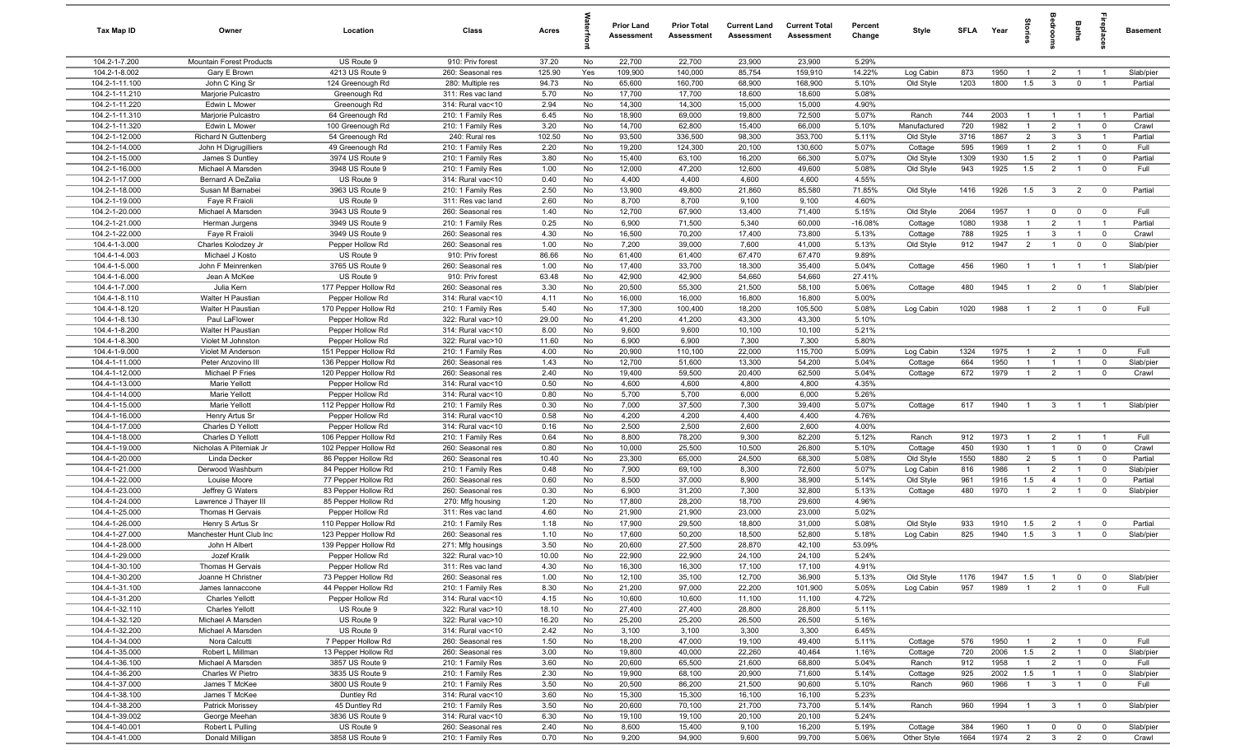| Tax Map ID                       | Owner                                  | Location                                 | Class                                  | Acres         |          | <b>Prior Land</b><br>Assessment | <b>Prior Total</b><br>Assessment | <b>Current Land</b><br>Assessment | <b>Current Total</b><br>Assessment | Percent<br>Change | Style                  | <b>SFLA</b> | Year         | Stories                          | <b>Bedrooms</b>                           | <b>Baths</b>                   | repla                         | <b>Basement</b>    |
|----------------------------------|----------------------------------------|------------------------------------------|----------------------------------------|---------------|----------|---------------------------------|----------------------------------|-----------------------------------|------------------------------------|-------------------|------------------------|-------------|--------------|----------------------------------|-------------------------------------------|--------------------------------|-------------------------------|--------------------|
| 104.2-1-7.200                    | Mountain Forest Products               | US Route 9                               | 910: Priv forest                       | 37.20         | No       | 22,700                          | 22,700                           | 23,900                            | 23,900                             | 5.29%             |                        |             |              |                                  |                                           |                                |                               |                    |
| 104.2-1-8.002                    | Gary E Brown                           | 4213 US Route 9                          | 260: Seasonal res                      | 125.90        | Yes      | 109,900                         | 140,000                          | 85,754                            | 159,910                            | 14.22%            | Log Cabin              | 873         | 1950         | $\overline{1}$                   | $\overline{2}$                            | $\overline{1}$                 | $\overline{1}$                | Slab/pier          |
| 104.2-1-11.100                   | John C King Sr                         | 124 Greenough Rd                         | 280: Multiple res                      | 94.73         | No       | 65,600                          | 160,700                          | 68,900                            | 168,900                            | 5.10%             | Old Style              | 1203        | 1800         | 1.5                              | $\mathbf{3}$                              | $\mathbf 0$                    | $\overline{1}$                | Partial            |
| 104.2-1-11.210                   | Marjorie Pulcastro                     | Greenough Rd                             | 311: Res vac land                      | 5.70          | No       | 17,700                          | 17,700                           | 18,600                            | 18,600                             | 5.08%             |                        |             |              |                                  |                                           |                                |                               |                    |
| 104.2-1-11.220                   | Edwin L Mower                          | Greenough Rd                             | 314: Rural vac<10                      | 2.94          | No       | 14,300                          | 14,300                           | 15,000                            | 15,000                             | 4.90%             | Ranch                  | 744         | 2003         | $\overline{1}$                   |                                           | $\mathbf{1}$                   | $\overline{1}$                | Partial            |
| 104.2-1-11.310<br>104.2-1-11.320 | Marjorie Pulcastro<br>Edwin L Mower    | 64 Greenough Rd<br>100 Greenough Rd      | 210: 1 Family Res<br>210: 1 Family Res | 6.45<br>3.20  | No<br>No | 18,900<br>14,700                | 69,000<br>62,800                 | 19,800<br>15,400                  | 72,500<br>66,000                   | 5.07%<br>5.10%    | Manufactured           | 720         | 1982         | $\overline{1}$                   | 2                                         | $\overline{1}$                 | $\overline{\mathbf{0}}$       | Crawl              |
| 104.2-1-12.000                   | Richard N Guttenberg                   | 54 Greenough Rd                          | 240: Rural res                         | 102.50        | No       | 93,500                          | 336,500                          | 98,300                            | 353,700                            | 5.11%             | Old Style              | 3716        | 1867         | $\overline{2}$                   | $\overline{\mathbf{3}}$                   | 3                              | $\overline{1}$                | Partial            |
| 104.2-1-14.000                   | John H Digrugilliers                   | 49 Greenough Rd                          | 210: 1 Family Res                      | 2.20          | No       | 19,200                          | 124,300                          | 20,100                            | 130,600                            | 5.07%             | Cottage                | 595         | 1969         | $\mathbf{1}$                     | $\overline{2}$                            | $\overline{1}$                 | $\mathbf 0$                   | Full               |
| 104.2-1-15.000                   | James S Duntley                        | 3974 US Route 9                          | 210: 1 Family Res                      | 3.80          | No       | 15,400                          | 63,100                           | 16,200                            | 66,300                             | 5.07%             | Old Style              | 1309        | 1930         | 1.5                              | $\overline{2}$                            | $\overline{1}$                 | $\mathbf 0$                   | Partial            |
| 104.2-1-16.000                   | Michael A Marsden                      | 3948 US Route 9                          | 210: 1 Family Res                      | 1.00          | No       | 12,000                          | 47,200                           | 12,600                            | 49,600                             | 5.08%             | Old Style              | 943         | 1925         | 1.5                              | $\overline{2}$                            | $\overline{1}$                 | $\mathbf 0$                   | Full               |
| 104.2-1-17.000                   | Bernard A DeZalia                      | US Route 9                               | 314: Rural vac<10                      | 0.40          | No       | 4,400                           | 4,400                            | 4,600                             | 4,600                              | 4.55%             |                        |             |              |                                  |                                           |                                |                               |                    |
| 104.2-1-18.000                   | Susan M Barnabei                       | 3963 US Route 9                          | 210: 1 Family Res                      | 2.50          | No       | 13,900                          | 49,800                           | 21,860                            | 85,580                             | 71.85%            | Old Style              | 1416        | 1926         | 1.5                              | $\overline{\mathbf{3}}$                   | $\overline{2}$                 | $\overline{\mathbf{0}}$       | Partial            |
| 104.2-1-19.000                   | Faye R Fraioli                         | US Route 9                               | 311: Res vac land                      | 2.60          | No       | 8,700                           | 8,700                            | 9,100                             | 9,100                              | 4.60%             |                        |             |              |                                  |                                           |                                |                               |                    |
| 104.2-1-20.000                   | Michael A Marsden                      | 3943 US Route 9                          | 260: Seasonal res                      | 1.40          | No       | 12,700                          | 67,900                           | 13,400                            | 71,400                             | 5.15%             | Old Style              | 2064        | 1957         | $\overline{1}$                   | $^{\circ}$                                | $\mathbf 0$                    | $\mathbf 0$                   | Full               |
| 104.2-1-21.000                   | Herman Jurgens                         | 3949 US Route 9                          | 210: 1 Family Res                      | 0.25          | No       | 6,900                           | 71,500                           | 5,340                             | 60,000                             | $-16.08%$         | Cottage                | 1080        | 1938         | $\overline{1}$                   | 2                                         | $\overline{1}$                 | $\overline{1}$                | Partial            |
| 104.2-1-22.000                   | Faye R Fraioli                         | 3949 US Route 9                          | 260: Seasonal res                      | 4.30          | No       | 16,500                          | 70,200                           | 17,400                            | 73,800                             | 5.13%             | Cottage                | 788         | 1925         | $\overline{1}$                   | $\mathbf{3}$                              | $\overline{1}$                 | $\mathbf 0$                   | Crawl              |
| 104.4-1-3.000                    | Charles Kolodzey Jr                    | Pepper Hollow Rd                         | 260: Seasonal res                      | 1.00          | No       | 7,200                           | 39,000                           | 7,600                             | 41,000                             | 5.13%             | Old Style              | 912         | 1947         | $\overline{2}$                   | $\overline{1}$                            | $\mathbf 0$                    | $\overline{0}$                | Slab/pier          |
| 104.4-1-4.003                    | Michael J Kosto                        | US Route 9                               | 910: Priv forest                       | 86.66         | No       | 61,400                          | 61,400                           | 67,470                            | 67,470                             | 9.89%             |                        |             |              |                                  |                                           |                                |                               |                    |
| 104.4-1-5.000<br>104.4-1-6.000   | John F Meinrenken                      | 3765 US Route 9<br>US Route 9            | 260: Seasonal res<br>910: Priv forest  | 1.00          | No<br>No | 17,400                          | 33,700<br>42,900                 | 18,300<br>54,660                  | 35,400<br>54,660                   | 5.04%<br>27.41%   | Cottage                | 456         | 1960         | $\overline{1}$                   | $\overline{1}$                            | $\overline{1}$                 |                               | Slab/pier          |
| 104.4-1-7.000                    | Jean A McKee<br>Julia Kern             | 177 Pepper Hollow Rd                     | 260: Seasonal res                      | 63.48<br>3.30 | No       | 42,900<br>20,500                | 55,300                           | 21,500                            | 58,100                             | 5.06%             | Cottage                | 480         | 1945         | $\overline{1}$                   | $\overline{2}$                            | $\mathbf 0$                    |                               | Slab/pier          |
| 104.4-1-8.110                    | Walter H Paustian                      | Pepper Hollow Rd                         | 314: Rural vac<10                      | 4.11          | No       | 16,000                          | 16,000                           | 16,800                            | 16,800                             | 5.00%             |                        |             |              |                                  |                                           |                                |                               |                    |
| 104.4-1-8.120                    | Walter H Paustian                      | 170 Pepper Hollow Rd                     | 210: 1 Family Res                      | 5.40          | No       | 17,300                          | 100,400                          | 18,200                            | 105,500                            | 5.08%             | Log Cabin              | 1020        | 1988         | $\overline{1}$                   | $\overline{2}$                            | $\overline{1}$                 | $\mathbf 0$                   | Full               |
| 104.4-1-8.130                    | Paul LaFlower                          | Pepper Hollow Rd                         | 322: Rural vac>10                      | 29.00         | No       | 41,200                          | 41,200                           | 43,300                            | 43,300                             | 5.10%             |                        |             |              |                                  |                                           |                                |                               |                    |
| 104.4-1-8.200                    | Walter H Paustian                      | Pepper Hollow Rd                         | 314: Rural vac<10                      | 8.00          | No       | 9,600                           | 9,600                            | 10,100                            | 10,100                             | 5.21%             |                        |             |              |                                  |                                           |                                |                               |                    |
| 104.4-1-8.300                    | Violet M Johnston                      | Pepper Hollow Rd                         | 322: Rural vac>10                      | 11.60         | No       | 6,900                           | 6,900                            | 7,300                             | 7,300                              | 5.80%             |                        |             |              |                                  |                                           |                                |                               |                    |
| 104.4-1-9.000                    | Violet M Anderson                      | 151 Pepper Hollow Rd                     | 210: 1 Family Res                      | 4.00          | No       | 20,900                          | 110,100                          | 22,000                            | 115,700                            | 5.09%             | Log Cabin              | 1324        | 1975         | $\mathbf{1}$                     | $\overline{2}$                            | $\overline{1}$                 | $^{\circ}$                    | Full               |
| 104.4-1-11.000                   | Peter Anzovino III                     | 136 Pepper Hollow Rd                     | 260: Seasonal res                      | 1.43          | No       | 12,700                          | 51,600                           | 13,300                            | 54,200                             | 5.04%             | Cottage                | 664         | 1950         | $\mathbf{1}$                     | $\overline{1}$                            | $\overline{1}$                 | $\mathbf 0$                   | Slab/pier          |
| 104.4-1-12.000                   | Michael P Fries                        | 120 Pepper Hollow Rd                     | 260: Seasonal res                      | 2.40          | No       | 19,400                          | 59,500                           | 20,400                            | 62,500                             | 5.04%             | Cottage                | 672         | 1979         | $\overline{1}$                   | $\overline{2}$                            | $\overline{1}$                 | $\mathbf 0$                   | Crawl              |
| 104.4-1-13.000                   | Marie Yellott                          | Pepper Hollow Rd                         | 314: Rural vac<10                      | 0.50          | No       | 4,600                           | 4,600                            | 4,800                             | 4,800                              | 4.35%             |                        |             |              |                                  |                                           |                                |                               |                    |
| 104.4-1-14.000                   | Marie Yellott                          | Pepper Hollow Rd                         | 314: Rural vac<10                      | 0.80          | No       | 5,700                           | 5,700                            | 6,000                             | 6,000                              | 5.26%             |                        |             |              |                                  |                                           |                                |                               |                    |
| 104.4-1-15.000                   | Marie Yellott                          | 112 Pepper Hollow Rd                     | 210: 1 Family Res                      | 0.30          | No       | 7,000                           | 37,500                           | 7,300                             | 39,400                             | 5.07%             | Cottage                | 617         | 1940         | $\overline{1}$                   | $\mathbf{3}$                              | $\overline{1}$                 |                               | Slab/pier          |
| 104.4-1-16.000                   | Henry Artus Sr                         | Pepper Hollow Rd                         | 314: Rural vac<10                      | 0.58          | No       | 4,200<br>2,500                  | 4,200<br>2,500                   | 4,400<br>2,600                    | 4,400<br>2,600                     | 4.76%<br>4.00%    |                        |             |              |                                  |                                           |                                |                               |                    |
| 104.4-1-17.000<br>104.4-1-18.000 | Charles D Yellott<br>Charles D Yellott | Pepper Hollow Rd<br>106 Pepper Hollow Rd | 314: Rural vac<10<br>210: 1 Family Res | 0.16<br>0.64  | No<br>No | 8,800                           | 78,200                           | 9,300                             | 82,200                             | 5.12%             | Ranch                  | 912         | 1973         | $\overline{1}$                   | $\overline{2}$                            | $\overline{1}$                 | $\overline{1}$                | Full               |
| 104.4-1-19.000                   | Nicholas A Piterniak Jr                | 102 Pepper Hollow Rd                     | 260: Seasonal res                      | 0.80          | No       | 10,000                          | 25,500                           | 10,500                            | 26,800                             | 5.10%             | Cottage                | 450         | 1930         | $\overline{1}$                   | $\mathbf{1}$                              | $\mathbf 0$                    | $\mathbf 0$                   | Crawl              |
| 104.4-1-20.000                   | Linda Decker                           | 86 Pepper Hollow Rd                      | 260: Seasonal res                      | 10.40         | No       | 23,300                          | 65,000                           | 24,500                            | 68,300                             | 5.08%             | Old Style              | 1550        | 1880         | $\overline{2}$                   | $5\overline{5}$                           | $\overline{1}$                 | $\mathbf 0$                   | Partial            |
| 104.4-1-21.000                   | Derwood Washburn                       | 84 Pepper Hollow Rd                      | 210: 1 Family Res                      | 0.48          | No       | 7,900                           | 69,100                           | 8,300                             | 72,600                             | 5.07%             | Log Cabin              | 816         | 1986         | $\overline{1}$                   | $\overline{2}$                            | $\overline{1}$                 | $\mathbf 0$                   | Slab/pier          |
| 104.4-1-22.000                   | Louise Moore                           | 77 Pepper Hollow Rd                      | 260: Seasonal res                      | 0.60          | No       | 8,500                           | 37,000                           | 8,900                             | 38,900                             | 5.14%             | Old Style              | 961         | 1916         | 1.5                              | $\overline{4}$                            | $\overline{1}$                 | $\mathbf 0$                   | Partial            |
| 104.4-1-23.000                   | Jeffrey G Waters                       | 83 Pepper Hollow Rd                      | 260: Seasonal res                      | 0.30          | No       | 6,900                           | 31,200                           | 7,300                             | 32,800                             | 5.13%             | Cottage                | 480         | 1970         | $\overline{1}$                   | 2                                         | $\overline{1}$                 | $\mathbf 0$                   | Slab/pier          |
| 104.4-1-24.000                   | Lawrence J Thayer III                  | 85 Pepper Hollow Rd                      | 270: Mfg housing                       | 1.20          | No       | 17,800                          | 28,200                           | 18,700                            | 29,600                             | 4.96%             |                        |             |              |                                  |                                           |                                |                               |                    |
| 104.4-1-25.000                   | Thomas H Gervais                       | Pepper Hollow Rd                         | 311: Res vac land                      | 4.60          | No       | 21,900                          | 21,900                           | 23,000                            | 23,000                             | 5.02%             |                        |             |              |                                  |                                           |                                |                               |                    |
| 104.4-1-26.000                   | Henry S Artus Sr                       | 110 Pepper Hollow Rd                     | 210: 1 Family Res                      | 1.18          | No       | 17,900                          | 29,500                           | 18,800                            | 31,000                             | 5.08%             | Old Style              | 933         | 1910         | 1.5                              | $\overline{2}$                            | $\mathbf{1}$                   | $\mathbf 0$                   | Partial            |
| 104.4-1-27.000                   | Manchester Hunt Club Inc               | 123 Pepper Hollow Rd                     | 260: Seasonal res                      | 1.10          | No       | 17,600                          | 50,200                           | 18,500                            | 52,800                             | 5.18%             | Log Cabin              | 825         | 1940         | 1.5                              | $\mathbf{3}$                              | $\overline{1}$                 | $\mathbf 0$                   | Slab/pier          |
| 104.4-1-28.000                   | John H Albert                          | 139 Pepper Hollow Rd                     | 271: Mfg housings                      | 3.50          | No       | 20,600                          | 27,500                           | 28,870                            | 42,100                             | 53.09%            |                        |             |              |                                  |                                           |                                |                               |                    |
| 104.4-1-29.000                   | Jozef Kralik                           | Pepper Hollow Rd                         | 322: Rural vac>10                      | 10.00         | No       | 22,900                          | 22,900                           | 24,100                            | 24,100                             | 5.24%             |                        |             |              |                                  |                                           |                                |                               |                    |
| 104.4-1-30.100<br>104.4-1-30.200 | Thomas H Gervais<br>Joanne H Christner | Pepper Hollow Rd<br>73 Pepper Hollow Rd  | 311: Res vac land<br>260: Seasonal res | 4.30<br>1.00  | No<br>No | 16,300<br>12,100                | 16,300<br>35,100                 | 17,100<br>12,700                  | 17,100<br>36,900                   | 4.91%<br>5.13%    | Old Style              | 1176        | 1947         | 1.5                              | $\overline{1}$                            | $\mathbf{0}$                   | $\overline{0}$                | Slab/pier          |
| 104.4-1-31.100                   | James lannaccone                       | 44 Pepper Hollow Rd                      | 210: 1 Family Res                      | 8.30          | No       | 21,200                          | 97,000                           | 22,200                            | 101,900                            | 5.05%             | Log Cabin              | 957         | 1989         | $\overline{1}$                   | $\overline{2}$                            | $\overline{1}$                 | $\mathbf{0}$                  | Full               |
| 104.4-1-31.200                   | <b>Charles Yellott</b>                 | Pepper Hollow Rd                         | 314: Rural vac<10                      | 4.15          | No       | 10,600                          | 10,600                           | 11,100                            | 11,100                             | 4.72%             |                        |             |              |                                  |                                           |                                |                               |                    |
| 104.4-1-32.110                   | <b>Charles Yellott</b>                 | US Route 9                               | 322: Rural vac>10                      | 18.10         | No       | 27,400                          | 27,400                           | 28,800                            | 28,800                             | 5.11%             |                        |             |              |                                  |                                           |                                |                               |                    |
| 104.4-1-32.120                   | Michael A Marsden                      | US Route 9                               | 322: Rural vac>10                      | 16.20         | No       | 25,200                          | 25,200                           | 26,500                            | 26,500                             | 5.16%             |                        |             |              |                                  |                                           |                                |                               |                    |
| 104.4-1-32.200                   | Michael A Marsden                      | US Route 9                               | 314: Rural vac<10                      | 2.42          | No       | 3,100                           | 3,100                            | 3,300                             | 3,300                              | 6.45%             |                        |             |              |                                  |                                           |                                |                               |                    |
| 104.4-1-34.000                   | Nora Calcutti                          | 7 Pepper Hollow Rd                       | 260: Seasonal res                      | 1.50          | No       | 18,200                          | 47,000                           | 19,100                            | 49,400                             | 5.11%             | Cottage                | 576         | 1950         | $\overline{1}$                   | $\overline{2}$                            | $\overline{1}$                 | $\overline{0}$                | Full               |
| 104.4-1-35.000                   | Robert L Millman                       | 13 Pepper Hollow Rd                      | 260: Seasonal res                      | 3.00          | No       | 19,800                          | 40,000                           | 22,260                            | 40,464                             | 1.16%             | Cottage                | 720         | 2006         | 1.5                              | $\overline{2}$                            | $\overline{1}$                 | $\overline{0}$                | Slab/pier          |
| 104.4-1-36.100                   | Michael A Marsden                      | 3857 US Route 9                          | 210: 1 Family Res                      | 3.60          | No       | 20,600                          | 65,500                           | 21,600                            | 68,800                             | 5.04%             | Ranch                  | 912         | 1958         | $\overline{1}$                   | $\overline{2}$                            | $\overline{1}$                 | $\overline{0}$                | Full               |
| 104.4-1-36.200                   | Charles W Pietro                       | 3835 US Route 9                          | 210: 1 Family Res                      | 2.30          | No       | 19,900                          | 68,100                           | 20,900                            | 71,600                             | 5.14%             | Cottage                | 925         | 2002         | 1.5                              | - 1                                       | $\overline{1}$                 | $\overline{0}$                | Slab/pier          |
| 104.4-1-37.000                   | James T McKee                          | 3800 US Route 9                          | 210: 1 Family Res                      | 3.50          | No       | 20,500                          | 86,200                           | 21,500                            | 90,600                             | 5.10%             | Ranch                  | 960         | 1966         | $\overline{1}$                   | $\mathbf{3}$                              | $\overline{1}$                 | $\overline{0}$                | Full               |
| 104.4-1-38.100                   | James T McKee                          | Duntley Rd                               | 314: Rural vac<10                      | 3.60          | No       | 15,300                          | 15,300                           | 16,100                            | 16,100                             | 5.23%             |                        |             |              |                                  |                                           |                                |                               |                    |
| 104.4-1-38.200                   | Patrick Morissey                       | 45 Duntley Rd                            | 210: 1 Family Res                      | 3.50          | No       | 20,600                          | 70,100                           | 21,700                            | 73,700                             | 5.14%             | Ranch                  | 960         | 1994         | $\overline{1}$                   | $\overline{\mathbf{3}}$                   | $\overline{1}$                 | $\overline{\mathbf{0}}$       | Slab/pier          |
| 104.4-1-39.002                   | George Meehan                          | 3836 US Route 9                          | 314: Rural vac<10                      | 6.30          | No       | 19,100                          | 19,100                           | 20,100                            | 20,100                             | 5.24%             |                        |             |              |                                  |                                           |                                |                               |                    |
| 104.4-1-40.001<br>104.4-1-41.000 | Robert L Pulling<br>Donald Milligan    | US Route 9<br>3858 US Route 9            | 260: Seasonal res<br>210: 1 Family Res | 2.40<br>0.70  | No<br>No | 8,600<br>9,200                  | 15,400<br>94,900                 | 9,100<br>9,600                    | 16,200<br>99,700                   | 5.19%<br>5.06%    | Cottage<br>Other Style | 384<br>1664 | 1960<br>1974 | $\overline{1}$<br>$\overline{2}$ | $\overline{0}$<br>$\overline{\mathbf{3}}$ | $\mathbf{0}$<br>$\overline{2}$ | $\mathbf 0$<br>$\overline{0}$ | Slab/pier<br>Crawl |
|                                  |                                        |                                          |                                        |               |          |                                 |                                  |                                   |                                    |                   |                        |             |              |                                  |                                           |                                |                               |                    |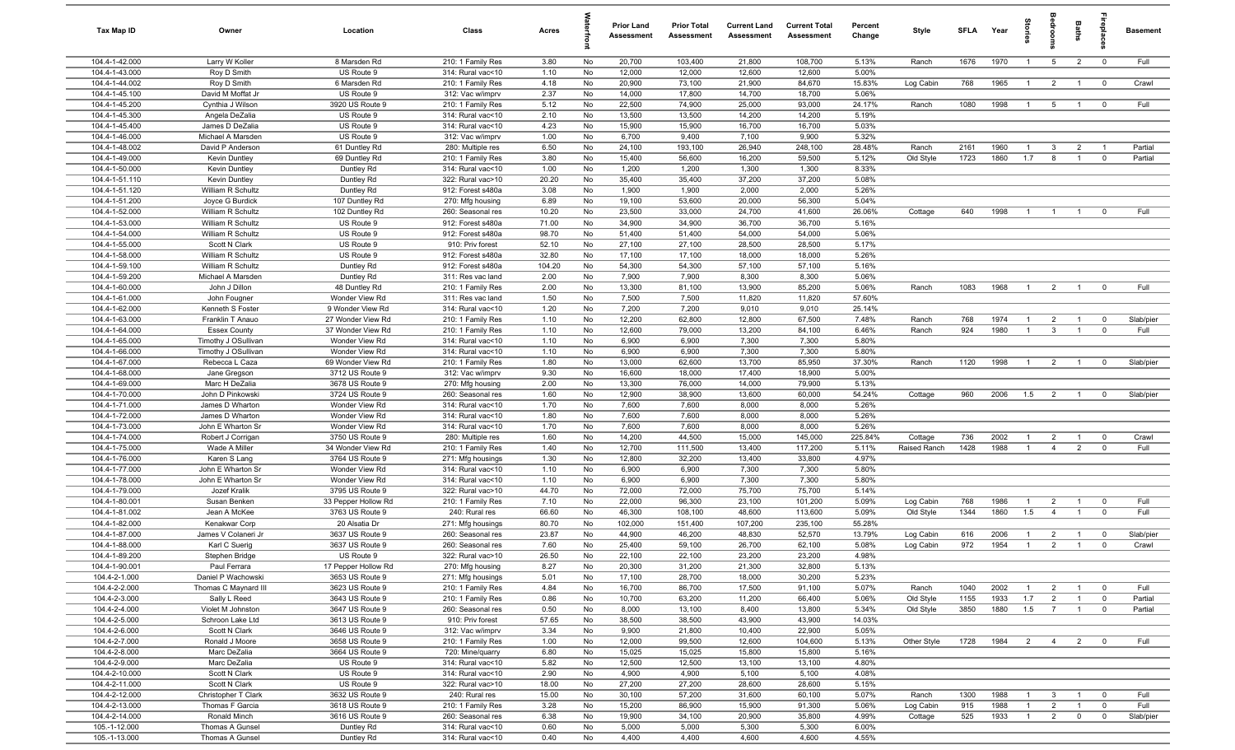| Tax Map ID                       | Owner                                      | Location                           | Class                                  | Acres          |          | <b>Prior Land</b><br>Assessment | <b>Prior Total</b><br>Assessment | <b>Current Land</b><br><b>Assessment</b> | <b>Current Total</b><br>Assessment | Percent<br>Change | Style        | <b>SFLA</b> | Year | tories         | groo                             | Baths          | epla                    | <b>Basement</b> |
|----------------------------------|--------------------------------------------|------------------------------------|----------------------------------------|----------------|----------|---------------------------------|----------------------------------|------------------------------------------|------------------------------------|-------------------|--------------|-------------|------|----------------|----------------------------------|----------------|-------------------------|-----------------|
| 104.4-1-42.000                   | Larry W Koller                             | 8 Marsden Rd                       | 210: 1 Family Res                      | 3.80           | No       | 20,700                          | 103,400                          | 21,800                                   | 108,700                            | 5.13%             | Ranch        | 1676        | 1970 | $\overline{1}$ | $5\overline{)}$                  | $\overline{2}$ | $\overline{\mathbf{0}}$ | Full            |
| 104.4-1-43.000                   | Roy D Smith                                | US Route 9                         | 314: Rural vac<10                      | 1.10           | No       | 12,000                          | 12,000                           | 12,600                                   | 12,600                             | 5.00%             |              |             |      |                |                                  |                |                         |                 |
| 104.4-1-44.002                   | Roy D Smith                                | 6 Marsden Rd                       | 210: 1 Family Res                      | 4.18           | No       | 20,900                          | 73,100                           | 21,900                                   | 84,670                             | 15.83%            | Log Cabin    | 768         | 1965 | $\overline{1}$ | $\overline{2}$                   | $\overline{1}$ | $\overline{0}$          | Crawl           |
| 104.4-1-45.100                   | David M Moffat Jr                          | US Route 9                         | 312: Vac w/imprv                       | 2.37           | No       | 14,000                          | 17,800                           | 14,700                                   | 18,700                             | 5.06%             |              |             |      |                |                                  |                |                         |                 |
| 104.4-1-45.200                   | Cynthia J Wilson                           | 3920 US Route 9                    | 210: 1 Family Res                      | 5.12           | No       | 22,500                          | 74,900                           | 25,000                                   | 93,000                             | 24.17%            | Ranch        | 1080        | 1998 | $\overline{1}$ | 5 <sup>5</sup>                   | $\overline{1}$ | $\overline{\mathbf{0}}$ | Full            |
| 104.4-1-45.300<br>104.4-1-45.400 | Angela DeZalia<br>James D DeZalia          | US Route 9<br>US Route 9           | 314: Rural vac<10                      | 2.10<br>4.23   | No<br>No | 13,500<br>15,900                | 13,500<br>15,900                 | 14,200<br>16,700                         | 14,200<br>16,700                   | 5.19%<br>5.03%    |              |             |      |                |                                  |                |                         |                 |
| 104.4-1-46.000                   | Michael A Marsden                          | US Route 9                         | 314: Rural vac<10<br>312: Vac w/imprv  | 1.00           | No       | 6,700                           | 9,400                            | 7,100                                    | 9,900                              | 5.32%             |              |             |      |                |                                  |                |                         |                 |
| 104.4-1-48.002                   | David P Anderson                           | 61 Duntley Rd                      | 280: Multiple res                      | 6.50           | No       | 24,100                          | 193,100                          | 26,940                                   | 248,100                            | 28.48%            | Ranch        | 2161        | 1960 | $\overline{1}$ | 3                                | $\overline{2}$ | $\overline{1}$          | Partial         |
| 104.4-1-49.000                   | Kevin Duntley                              | 69 Duntley Rd                      | 210: 1 Family Res                      | 3.80           | No       | 15,400                          | 56,600                           | 16,200                                   | 59,500                             | 5.12%             | Old Style    | 1723        | 1860 | 1.7            | 8                                | $\overline{1}$ | $\mathbf 0$             | Partial         |
| 104.4-1-50.000                   | Kevin Duntley                              | Duntley Rd                         | 314: Rural vac<10                      | 1.00           | No       | 1,200                           | 1,200                            | 1,300                                    | 1,300                              | 8.33%             |              |             |      |                |                                  |                |                         |                 |
| 104.4-1-51.110                   | Kevin Duntley                              | Duntley Rd                         | 322: Rural vac>10                      | 20.20          | No       | 35,400                          | 35,400                           | 37,200                                   | 37,200                             | 5.08%             |              |             |      |                |                                  |                |                         |                 |
| 104.4-1-51.120                   | William R Schultz                          | Duntley Rd                         | 912: Forest s480a                      | 3.08           | No       | 1,900                           | 1,900                            | 2,000                                    | 2,000                              | 5.26%             |              |             |      |                |                                  |                |                         |                 |
| 104.4-1-51.200                   | Joyce G Burdick                            | 107 Duntley Rd                     | 270: Mfg housing                       | 6.89           | No       | 19,100                          | 53,600                           | 20,000                                   | 56,300                             | 5.04%             |              |             |      |                |                                  |                |                         |                 |
| 104.4-1-52.000                   | William R Schultz                          | 102 Duntley Rd                     | 260: Seasonal res                      | 10.20          | No       | 23,500                          | 33,000                           | 24,700                                   | 41,600                             | 26.06%            | Cottage      | 640         | 1998 | $\overline{1}$ | $\overline{1}$                   | $\overline{1}$ | $^{\circ}$              | Full            |
| 104.4-1-53.000                   | William R Schultz                          | US Route 9                         | 912: Forest s480a                      | 71.00          | No       | 34,900                          | 34,900                           | 36,700                                   | 36,700                             | 5.16%             |              |             |      |                |                                  |                |                         |                 |
| 104.4-1-54.000                   | William R Schultz                          | US Route 9                         | 912: Forest s480a                      | 98.70          | No       | 51,400                          | 51,400                           | 54,000                                   | 54,000                             | 5.06%             |              |             |      |                |                                  |                |                         |                 |
| 104.4-1-55.000                   | Scott N Clark                              | US Route 9                         | 910: Priv forest                       | 52.10          | No       | 27,100                          | 27,100                           | 28,500                                   | 28,500                             | 5.17%             |              |             |      |                |                                  |                |                         |                 |
| 104.4-1-58.000                   | William R Schultz                          | US Route 9                         | 912: Forest s480a                      | 32.80          | No       | 17,100                          | 17,100                           | 18,000                                   | 18,000                             | 5.26%             |              |             |      |                |                                  |                |                         |                 |
| 104.4-1-59.100<br>104.4-1-59.200 | William R Schultz<br>Michael A Marsden     | Duntley Rd<br>Duntley Rd           | 912: Forest s480a<br>311: Res vac land | 104.20<br>2.00 | No<br>No | 54,300<br>7,900                 | 54,300<br>7,900                  | 57,100<br>8,300                          | 57,100<br>8,300                    | 5.16%<br>5.06%    |              |             |      |                |                                  |                |                         |                 |
| 104.4-1-60.000                   | John J Dillon                              | 48 Duntley Rd                      | 210: 1 Family Res                      | 2.00           | No       | 13,300                          | 81,100                           | 13,900                                   | 85,200                             | 5.06%             | Ranch        | 1083        | 1968 | $\overline{1}$ | $\overline{2}$                   | $\overline{1}$ | $\overline{0}$          | Full            |
| 104.4-1-61.000                   | John Fougner                               | Wonder View Rd                     | 311: Res vac land                      | 1.50           | No       | 7,500                           | 7,500                            | 11,820                                   | 11,820                             | 57.60%            |              |             |      |                |                                  |                |                         |                 |
| 104.4-1-62.000                   | Kenneth S Foster                           | 9 Wonder View Rd                   | 314: Rural vac<10                      | 1.20           | No       | 7,200                           | 7,200                            | 9,010                                    | 9,010                              | 25.14%            |              |             |      |                |                                  |                |                         |                 |
| 104.4-1-63.000                   | Franklin T Anauo                           | 27 Wonder View Rd                  | 210: 1 Family Res                      | 1.10           | No       | 12,200                          | 62,800                           | 12,800                                   | 67,500                             | 7.48%             | Ranch        | 768         | 1974 | $\overline{1}$ | $\overline{2}$                   | $\overline{1}$ | $\overline{0}$          | Slab/pier       |
| 104.4-1-64.000                   | <b>Essex County</b>                        | 37 Wonder View Rd                  | 210: 1 Family Res                      | 1.10           | No       | 12,600                          | 79,000                           | 13,200                                   | 84,100                             | 6.46%             | Ranch        | 924         | 1980 | $\overline{1}$ | $\mathbf{3}$                     | $\overline{1}$ | $\overline{0}$          | Full            |
| 104.4-1-65.000                   | Timothy J OSullivan                        | Wonder View Rd                     | 314: Rural vac<10                      | 1.10           | No       | 6,900                           | 6,900                            | 7,300                                    | 7,300                              | 5.80%             |              |             |      |                |                                  |                |                         |                 |
| 104.4-1-66.000                   | Timothy J OSullivan                        | Wonder View Rd                     | 314: Rural vac<10                      | 1.10           | No       | 6,900                           | 6,900                            | 7,300                                    | 7,300                              | 5.80%             |              |             |      |                |                                  |                |                         |                 |
| 104.4-1-67.000                   | Rebecca L Caza                             | 69 Wonder View Rd                  | 210: 1 Family Res                      | 1.80           | No       | 13,000                          | 62,600                           | 13,700                                   | 85,950                             | 37.30%            | Ranch        | 1120        | 1998 | $\overline{1}$ | $\overline{2}$                   | $\overline{1}$ | $\mathbf 0$             | Slab/pier       |
| 104.4-1-68.000                   | Jane Gregson                               | 3712 US Route 9                    | 312: Vac w/imprv                       | 9.30           | No       | 16,600                          | 18,000                           | 17,400                                   | 18,900                             | 5.00%             |              |             |      |                |                                  |                |                         |                 |
| 104.4-1-69.000                   | Marc H DeZalia                             | 3678 US Route 9                    | 270: Mfg housing                       | 2.00           | No       | 13,300                          | 76,000                           | 14,000                                   | 79,900                             | 5.13%             |              |             |      |                |                                  |                |                         |                 |
| 104.4-1-70.000                   | John D Pinkowski                           | 3724 US Route 9                    | 260: Seasonal res                      | 1.60           | No       | 12,900                          | 38,900                           | 13,600                                   | 60,000                             | 54.24%            | Cottage      | 960         | 2006 | 1.5            | $\overline{2}$                   | $\overline{1}$ | $^{\circ}$              | Slab/pier       |
| 104.4-1-71.000                   | James D Wharton                            | Wonder View Rd                     | 314: Rural vac<10                      | 1.70           | No       | 7,600                           | 7,600                            | 8,000                                    | 8,000                              | 5.26%             |              |             |      |                |                                  |                |                         |                 |
| 104.4-1-72.000                   | James D Wharton                            | Wonder View Rd                     | 314: Rural vac<10                      | 1.80           | No<br>No | 7,600                           | 7,600                            | 8,000                                    | 8,000<br>8,000                     | 5.26%             |              |             |      |                |                                  |                |                         |                 |
| 104.4-1-73.000<br>104.4-1-74.000 | John E Wharton Sr<br>Robert J Corrigan     | Wonder View Rd<br>3750 US Route 9  | 314: Rural vac<10<br>280: Multiple res | 1.70<br>1.60   | No       | 7,600<br>14,200                 | 7,600<br>44,500                  | 8,000<br>15,000                          | 145,000                            | 5.26%<br>225.84%  | Cottage      | 736         | 2002 | $\overline{1}$ | $\overline{2}$                   | $\overline{1}$ | $\overline{0}$          | Crawl           |
| 104.4-1-75.000                   | Wade A Miller                              | 34 Wonder View Rd                  | 210: 1 Family Res                      | 1.40           | No       | 12,700                          | 111,500                          | 13,400                                   | 117,200                            | 5.11%             | Raised Ranch | 1428        | 1988 | $\overline{1}$ | $\overline{4}$                   | $\overline{2}$ | $\mathbf 0$             | Full            |
| 104.4-1-76.000                   | Karen S Lang                               | 3764 US Route 9                    | 271: Mfg housings                      | 1.30           | No       | 12,800                          | 32,200                           | 13,400                                   | 33,800                             | 4.97%             |              |             |      |                |                                  |                |                         |                 |
| 104.4-1-77.000                   | John E Wharton Sr                          | Wonder View Rd                     | 314: Rural vac<10                      | 1.10           | No       | 6,900                           | 6,900                            | 7,300                                    | 7,300                              | 5.80%             |              |             |      |                |                                  |                |                         |                 |
| 104.4-1-78.000                   | John E Wharton Sr                          | Wonder View Rd                     | 314: Rural vac<10                      | 1.10           | No       | 6,900                           | 6,900                            | 7,300                                    | 7,300                              | 5.80%             |              |             |      |                |                                  |                |                         |                 |
| 104.4-1-79.000                   | Jozef Kralik                               | 3795 US Route 9                    | 322: Rural vac>10                      | 44.70          | No       | 72,000                          | 72,000                           | 75,700                                   | 75,700                             | 5.14%             |              |             |      |                |                                  |                |                         |                 |
| 104.4-1-80.001                   | Susan Benken                               | 33 Pepper Hollow Rd                | 210: 1 Family Res                      | 7.10           | No       | 22,000                          | 96,300                           | 23,100                                   | 101,200                            | 5.09%             | Log Cabin    | 768         | 1986 | $\mathbf{1}$   | $\overline{2}$                   | $\overline{1}$ | $\overline{0}$          | Full            |
| 104.4-1-81.002                   | Jean A McKee                               | 3763 US Route 9                    | 240: Rural res                         | 66.60          | No       | 46,300                          | 108,100                          | 48,600                                   | 113,600                            | 5.09%             | Old Style    | 1344        | 1860 | 1.5            | $\overline{4}$                   |                | $\mathbf 0$             | Full            |
| 104.4-1-82.000                   | Kenakwar Corp                              | 20 Alsatia Dr                      | 271: Mfg housings                      | 80.70          | No       | 102,000                         | 151,400                          | 107,200                                  | 235,100                            | 55.28%            |              |             |      |                |                                  |                |                         |                 |
| 104.4-1-87.000                   | James V Colaneri Jr                        | 3637 US Route 9                    | 260: Seasonal res                      | 23.87          | No       | 44,900                          | 46,200                           | 48,830                                   | 52,570                             | 13.79%            | Log Cabin    | 616         | 2006 |                | $\overline{2}$                   |                | $\overline{0}$          | Slab/pier       |
| 104.4-1-88.000                   | Karl C Suerig                              | 3637 US Route 9                    | 260: Seasonal res                      | 7.60           | No       | 25,400                          | 59,100                           | 26,700                                   | 62,100                             | 5.08%             | Log Cabin    | 972         | 1954 | $\overline{1}$ | $\overline{2}$                   | $\overline{1}$ | $\mathbf 0$             | Crawl           |
| 104.4-1-89.200                   | Stephen Bridge                             | US Route 9                         | 322: Rural vac>10                      | 26.50          | No       | 22,100                          | 22,100                           | 23,200                                   | 23,200                             | 4.98%             |              |             |      |                |                                  |                |                         |                 |
| 104.4-1-90.001                   | Paul Ferrara                               | 17 Pepper Hollow Rd                | 270: Mfg housing                       | 8.27           | No       | 20,300                          | 31,200                           | 21,300                                   | 32,800                             | 5.13%             |              |             |      |                |                                  |                |                         |                 |
| 104.4-2-1.000<br>104.4-2-2.000   | Daniel P Wachowski<br>Thomas C Maynard III | 3653 US Route 9<br>3623 US Route 9 | 271: Mfg housings<br>210: 1 Family Res | 5.01<br>4.84   | No       | 17,100<br>16,700                | 28,700<br>86,700                 | 18,000<br>17,500                         | 30,200<br>91,100                   | 5.23%<br>5.07%    | Ranch        | 1040        | 2002 | $\overline{1}$ |                                  | $\overline{1}$ | $\overline{0}$          | Full            |
| 104.4-2-3.000                    | Sally L Reed                               | 3643 US Route 9                    | 210: 1 Family Res                      | 0.86           | No<br>No | 10,700                          | 63,200                           | 11,200                                   | 66,400                             | 5.06%             | Old Style    | 1155        | 1933 | 1.7            | $\overline{2}$<br>$\overline{2}$ | $\overline{1}$ | $\overline{0}$          | Partial         |
| 104.4-2-4.000                    | Violet M Johnston                          | 3647 US Route 9                    | 260: Seasonal res                      | 0.50           | No       | 8,000                           | 13,100                           | 8,400                                    | 13,800                             | 5.34%             | Old Style    | 3850        | 1880 | 1.5            | $\overline{7}$                   | $\mathbf{1}$   | $\overline{0}$          | Partial         |
| 104.4-2-5.000                    | Schroon Lake Ltd                           | 3613 US Route 9                    | 910: Priv forest                       | 57.65          | No       | 38,500                          | 38,500                           | 43,900                                   | 43,900                             | 14.03%            |              |             |      |                |                                  |                |                         |                 |
| 104.4-2-6.000                    | Scott N Clark                              | 3646 US Route 9                    | 312: Vac w/imprv                       | 3.34           | No       | 9,900                           | 21,800                           | 10,400                                   | 22,900                             | 5.05%             |              |             |      |                |                                  |                |                         |                 |
| 104.4-2-7.000                    | Ronald J Moore                             | 3658 US Route 9                    | 210: 1 Family Res                      | 1.00           | No       | 12,000                          | 99,500                           | 12,600                                   | 104,600                            | 5.13%             | Other Style  | 1728        | 1984 | $\overline{2}$ | $\overline{4}$                   | $\overline{2}$ | $\overline{\mathbf{0}}$ | Full            |
| 104.4-2-8.000                    | Marc DeZalia                               | 3664 US Route 9                    | 720: Mine/quarry                       | 6.80           | No       | 15,025                          | 15,025                           | 15,800                                   | 15,800                             | 5.16%             |              |             |      |                |                                  |                |                         |                 |
| 104.4-2-9.000                    | Marc DeZalia                               | US Route 9                         | 314: Rural vac<10                      | 5.82           | No       | 12,500                          | 12,500                           | 13,100                                   | 13,100                             | 4.80%             |              |             |      |                |                                  |                |                         |                 |
| 104.4-2-10.000                   | Scott N Clark                              | US Route 9                         | 314: Rural vac<10                      | 2.90           | No       | 4,900                           | 4,900                            | 5,100                                    | 5,100                              | 4.08%             |              |             |      |                |                                  |                |                         |                 |
| 104.4-2-11.000                   | Scott N Clark                              | US Route 9                         | 322: Rural vac>10                      | 18.00          | No       | 27,200                          | 27,200                           | 28,600                                   | 28,600                             | 5.15%             |              |             |      |                |                                  |                |                         |                 |
| 104.4-2-12.000                   | Christopher T Clark                        | 3632 US Route 9                    | 240: Rural res                         | 15.00          | No       | 30,100                          | 57,200                           | 31,600                                   | 60,100                             | 5.07%             | Ranch        | 1300        | 1988 | $\overline{1}$ | $\mathbf{3}$                     | $\overline{1}$ | $\overline{0}$          | Full            |
| 104.4-2-13.000                   | Thomas F Garcia                            | 3618 US Route 9                    | 210: 1 Family Res                      | 3.28           | No       | 15,200                          | 86,900                           | 15,900                                   | 91,300                             | 5.06%             | Log Cabin    | 915         | 1988 | $\overline{1}$ | $\overline{2}$                   | $\overline{1}$ | $\overline{0}$          | Full            |
| 104.4-2-14.000                   | Ronald Minch                               | 3616 US Route 9                    | 260: Seasonal res                      | 6.38           | No       | 19,900                          | 34,100                           | 20,900                                   | 35,800                             | 4.99%             | Cottage      | 525         | 1933 | $\overline{1}$ | $\overline{2}$                   | $\mathbf 0$    | $\mathbf 0$             | Slab/pier       |
| 105.-1-12.000                    | Thomas A Gunsel                            | Duntley Rd                         | 314: Rural vac<10                      | 0.60           | No       | 5,000                           | 5,000                            | 5,300                                    | 5,300                              | 6.00%             |              |             |      |                |                                  |                |                         |                 |
| 105.-1-13.000                    | Thomas A Gunsel                            | Duntley Rd                         | 314: Rural vac<10                      | 0.40           | No       | 4,400                           | 4,400                            | 4,600                                    | 4,600                              | 4.55%             |              |             |      |                |                                  |                |                         |                 |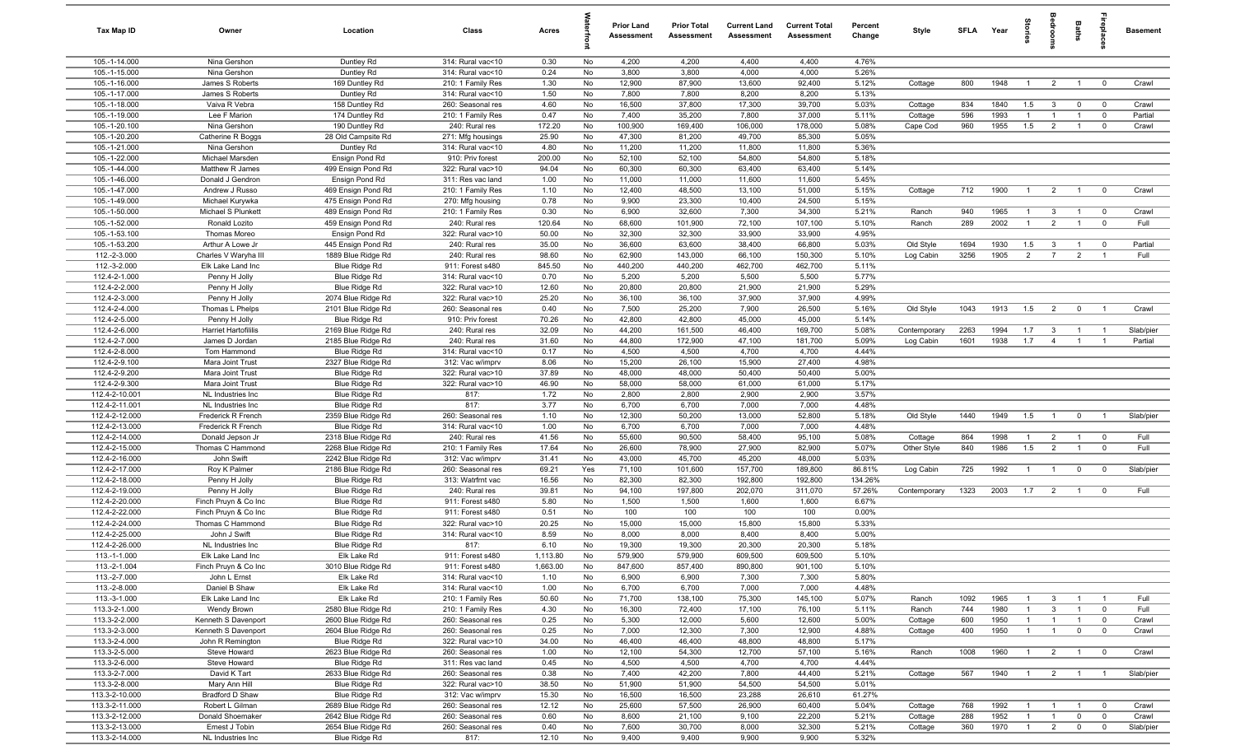| Tax Map ID                       | Owner                                         | Location                                 | Class                                  | Acres          |          | <b>Prior Land</b><br>Assessment | <b>Prior Total</b><br>Assessment | <b>Current Land</b><br>Assessment | <b>Current Total</b><br>Assessment | Percent<br>Change | Style                     | SFLA Year    |              | tories                           | droom                            | Baths                            | Lebia                            | <b>Basement</b>      |
|----------------------------------|-----------------------------------------------|------------------------------------------|----------------------------------------|----------------|----------|---------------------------------|----------------------------------|-----------------------------------|------------------------------------|-------------------|---------------------------|--------------|--------------|----------------------------------|----------------------------------|----------------------------------|----------------------------------|----------------------|
| 105.-1-14.000                    | Nina Gershon                                  | Duntley Rd                               | 314: Rural vac<10                      | 0.30           | No       | 4,200                           | 4,200                            | 4,400                             | 4,400                              | 4.76%             |                           |              |              |                                  |                                  |                                  |                                  |                      |
| 105.-1-15.000                    | Nina Gershon                                  | Duntley Rd                               | 314: Rural vac<10                      | 0.24           | No       | 3,800                           | 3,800                            | 4,000                             | 4,000                              | 5.26%             |                           |              |              |                                  |                                  |                                  |                                  |                      |
| 105.-1-16.000                    | James S Roberts                               | 169 Duntley Rd                           | 210: 1 Family Res                      | 1.30           | No       | 12,900                          | 87,900                           | 13,600                            | 92,400                             | 5.12%             | Cottage                   | 800          | 1948         | $\overline{1}$                   | $\overline{2}$                   | $\overline{1}$                   | $\overline{0}$                   | Crawl                |
| 105.-1-17.000<br>105.-1-18.000   | James S Roberts                               | Duntley Rd<br>158 Duntley Rd             | 314: Rural vac<10                      | 1.50<br>4.60   | No<br>No | 7,800<br>16,500                 | 7,800<br>37,800                  | 8,200<br>17,300                   | 8,200<br>39,700                    | 5.13%<br>5.03%    |                           | 834          | 1840         | 1.5                              | $\mathbf{3}$                     | $\mathbf 0$                      | $\mathbf 0$                      | Crawl                |
| 105.-1-19.000                    | Vaiva R Vebra<br>Lee F Marion                 | 174 Duntley Rd                           | 260: Seasonal res<br>210: 1 Family Res | 0.47           | No       | 7,400                           | 35,200                           | 7,800                             | 37,000                             | 5.11%             | Cottage<br>Cottage        | 596          | 1993         | $\mathbf{1}$                     | $\overline{1}$                   | $\overline{1}$                   | $\mathbf 0$                      | Partial              |
| 105.-1-20.100                    | Nina Gershon                                  | 190 Duntley Rd                           | 240: Rural res                         | 172.20         | No       | 100,900                         | 169,400                          | 106,000                           | 178,000                            | 5.08%             | Cape Cod                  | 960          | 1955         | 1.5                              | $\overline{2}$                   | $\overline{1}$                   | $\mathbf 0$                      | Crawl                |
| 105.-1-20.200                    | Catherine R Boggs                             | 28 Old Campsite Rd                       | 271: Mfg housings                      | 25.90          | No       | 47,300                          | 81,200                           | 49,700                            | 85,300                             | 5.05%             |                           |              |              |                                  |                                  |                                  |                                  |                      |
| 105.-1-21.000                    | Nina Gershon                                  | Duntley Rd                               | 314: Rural vac<10                      | 4.80           | No       | 11,200                          | 11,200                           | 11,800                            | 11,800                             | 5.36%             |                           |              |              |                                  |                                  |                                  |                                  |                      |
| 105.-1-22.000                    | Michael Marsden                               | Ensign Pond Rd                           | 910: Priv forest                       | 200.00         | No       | 52,100                          | 52,100                           | 54,800                            | 54,800                             | 5.18%             |                           |              |              |                                  |                                  |                                  |                                  |                      |
| 105.-1-44.000                    | Matthew R James                               | 499 Ensign Pond Rd                       | 322: Rural vac>10                      | 94.04          | No       | 60,300                          | 60,300                           | 63,400                            | 63,400                             | 5.14%             |                           |              |              |                                  |                                  |                                  |                                  |                      |
| 105.-1-46.000                    | Donald J Gendron                              | Ensign Pond Rd                           | 311: Res vac land                      | 1.00           | No       | 11,000                          | 11,000                           | 11,600                            | 11,600                             | 5.45%             |                           |              |              |                                  |                                  |                                  |                                  |                      |
| 105.-1-47.000                    | Andrew J Russo                                | 469 Ensign Pond Rd                       | 210: 1 Family Res                      | 1.10           | No       | 12,400                          | 48,500                           | 13,100                            | 51,000                             | 5.15%             | Cottage                   | 712          | 1900         | $\overline{1}$                   | $\overline{2}$                   | $\overline{1}$                   | $\mathbf 0$                      | Crawl                |
| 105.-1-49.000                    | Michael Kurywka                               | 475 Ensign Pond Rd                       | 270: Mfg housing                       | 0.78           | No       | 9,900                           | 23,300                           | 10,400                            | 24,500                             | 5.15%             |                           |              |              |                                  |                                  |                                  |                                  |                      |
| 105.-1-50.000<br>105.-1-52.000   | Michael S Plunkett<br>Ronald Lozito           | 489 Ensign Pond Rd<br>459 Ensign Pond Rd | 210: 1 Family Res<br>240: Rural res    | 0.30<br>120.64 | No<br>No | 6,900<br>68,600                 | 32,600<br>101,900                | 7,300<br>72,100                   | 34,300<br>107,100                  | 5.21%<br>5.10%    | Ranch<br>Ranch            | 940<br>289   | 1965<br>2002 | $\overline{1}$<br>$\overline{1}$ | 3<br>2                           | $\overline{1}$<br>$\overline{1}$ | $\mathbf 0$<br>$\mathbf 0$       | Crawl<br>Full        |
| 105.-1-53.100                    | Thomas Moreo                                  | Ensign Pond Rd                           | 322: Rural vac>10                      | 50.00          | No       | 32,300                          | 32,300                           | 33,900                            | 33,900                             | 4.95%             |                           |              |              |                                  |                                  |                                  |                                  |                      |
| 105.-1-53.200                    | Arthur A Lowe Jr                              | 445 Ensign Pond Rd                       | 240: Rural res                         | 35.00          | No       | 36,600                          | 63,600                           | 38,400                            | 66,800                             | 5.03%             | Old Style                 | 1694         | 1930         | 1.5                              | $\mathbf{3}$                     |                                  | $\mathbf 0$                      | Partial              |
| 112.-2-3.000                     | Charles V Waryha III                          | 1889 Blue Ridge Rd                       | 240: Rural res                         | 98.60          | No       | 62,900                          | 143,000                          | 66,100                            | 150,300                            | 5.10%             | Log Cabin                 | 3256         | 1905         | $\overline{2}$                   | $\overline{7}$                   | $\overline{2}$                   | $\overline{1}$                   | Full                 |
| 112.-3-2.000                     | Elk Lake Land Inc                             | Blue Ridge Rd                            | 911: Forest s480                       | 845.50         | No       | 440,200                         | 440,200                          | 462,700                           | 462,700                            | 5.11%             |                           |              |              |                                  |                                  |                                  |                                  |                      |
| 112.4-2-1.000                    | Penny H Jolly                                 | Blue Ridge Rd                            | 314: Rural vac<10                      | 0.70           | No       | 5,200                           | 5,200                            | 5,500                             | 5,500                              | 5.77%             |                           |              |              |                                  |                                  |                                  |                                  |                      |
| 112.4-2-2.000                    | Penny H Jolly                                 | Blue Ridge Rd                            | 322: Rural vac>10                      | 12.60          | No       | 20,800                          | 20,800                           | 21,900                            | 21,900                             | 5.29%             |                           |              |              |                                  |                                  |                                  |                                  |                      |
| 112.4-2-3.000                    | Penny H Jolly                                 | 2074 Blue Ridge Rd                       | 322: Rural vac>10                      | 25.20          | No       | 36,100                          | 36,100                           | 37,900                            | 37,900                             | 4.99%             |                           |              |              |                                  |                                  |                                  |                                  |                      |
| 112.4-2-4.000                    | Thomas L Phelps                               | 2101 Blue Ridge Rd                       | 260: Seasonal res                      | 0.40           | No       | 7,500                           | 25,200                           | 7,900                             | 26,500                             | 5.16%             | Old Style                 | 1043         | 1913         | 1.5                              | $\overline{2}$                   | $\mathbf 0$                      | $\overline{1}$                   | Crawl                |
| 112.4-2-5.000                    | Penny H Jolly                                 | Blue Ridge Rd                            | 910: Priv forest                       | 70.26          | No       | 42,800                          | 42,800                           | 45,000                            | 45,000                             | 5.14%             |                           |              |              |                                  |                                  |                                  |                                  |                      |
| 112.4-2-6.000<br>112.4-2-7.000   | <b>Harriet Hartofililis</b><br>James D Jordan | 2169 Blue Ridge Rd<br>2185 Blue Ridge Rd | 240: Rural res<br>240: Rural res       | 32.09<br>31.60 | No<br>No | 44,200<br>44,800                | 161,500<br>172,900               | 46,400<br>47,100                  | 169,700<br>181,700                 | 5.08%<br>5.09%    | Contemporary<br>Log Cabin | 2263<br>1601 | 1994<br>1938 | 1.7<br>1.7                       | $\mathbf{3}$<br>$\overline{4}$   | $\overline{1}$<br>$\overline{1}$ | $\overline{1}$<br>$\overline{1}$ | Slab/pier<br>Partial |
| 112.4-2-8.000                    | Tom Hammond                                   | Blue Ridge Rd                            | 314: Rural vac<10                      | 0.17           | No       | 4,500                           | 4,500                            | 4,700                             | 4,700                              | 4.44%             |                           |              |              |                                  |                                  |                                  |                                  |                      |
| 112.4-2-9.100                    | Mara Joint Trust                              | 2327 Blue Ridge Rd                       | 312: Vac w/imprv                       | 8.06           | No       | 15,200                          | 26,100                           | 15,900                            | 27,400                             | 4.98%             |                           |              |              |                                  |                                  |                                  |                                  |                      |
| 112.4-2-9.200                    | Mara Joint Trust                              | Blue Ridge Rd                            | 322: Rural vac>10                      | 37.89          | No       | 48,000                          | 48,000                           | 50,400                            | 50,400                             | 5.00%             |                           |              |              |                                  |                                  |                                  |                                  |                      |
| 112.4-2-9.300                    | Mara Joint Trust                              | Blue Ridge Rd                            | 322: Rural vac>10                      | 46.90          | No       | 58,000                          | 58,000                           | 61,000                            | 61,000                             | 5.17%             |                           |              |              |                                  |                                  |                                  |                                  |                      |
| 112.4-2-10.001                   | NL Industries Inc.                            | Blue Ridge Rd                            | 817:                                   | 1.72           | No       | 2,800                           | 2,800                            | 2,900                             | 2,900                              | 3.57%             |                           |              |              |                                  |                                  |                                  |                                  |                      |
| 112.4-2-11.001                   | NL Industries Inc                             | <b>Blue Ridge Rd</b>                     | 817:                                   | 3.77           | No       | 6,700                           | 6,700                            | 7,000                             | 7,000                              | 4.48%             |                           |              |              |                                  |                                  |                                  |                                  |                      |
| 112.4-2-12.000                   | Frederick R French                            | 2359 Blue Ridge Rd                       | 260: Seasonal res                      | 1.10           | No       | 12,300                          | 50,200                           | 13,000                            | 52,800                             | 5.18%             | Old Style                 | 1440         | 1949         | 1.5                              | $\overline{1}$                   | $\mathbf 0$                      | $\overline{1}$                   | Slab/pier            |
| 112.4-2-13.000                   | Frederick R French                            | Blue Ridge Rd                            | 314: Rural vac<10                      | 1.00           | No       | 6,700                           | 6,700                            | 7,000                             | 7,000                              | 4.48%             |                           |              |              |                                  |                                  |                                  |                                  |                      |
| 112.4-2-14.000<br>112.4-2-15.000 | Donald Jepson Jr<br>Thomas C Hammond          | 2318 Blue Ridge Rd<br>2268 Blue Ridge Rd | 240: Rural res<br>210: 1 Family Res    | 41.56<br>17.64 | No<br>No | 55,600<br>26,600                | 90,500<br>78,900                 | 58,400<br>27,900                  | 95,100<br>82,900                   | 5.08%<br>5.07%    | Cottage<br>Other Style    | 864<br>840   | 1998<br>1986 | $\overline{1}$<br>1.5            | $\overline{2}$<br>$\overline{2}$ | $\overline{1}$<br>$\overline{1}$ | $\mathbf 0$<br>$\mathbf 0$       | Full<br>Full         |
| 112.4-2-16.000                   | John Swift                                    | 2242 Blue Ridge Rd                       | 312: Vac w/imprv                       | 31.41          | No       | 43,000                          | 45,700                           | 45,200                            | 48,000                             | 5.03%             |                           |              |              |                                  |                                  |                                  |                                  |                      |
| 112.4-2-17.000                   | Roy K Palmer                                  | 2186 Blue Ridge Rd                       | 260: Seasonal res                      | 69.21          | Yes      | 71,100                          | 101,600                          | 157,700                           | 189,800                            | 86.81%            | Log Cabin                 | 725          | 1992         | $\overline{1}$                   | $\overline{1}$                   | $\mathbf 0$                      | $\mathbf 0$                      | Slab/pier            |
| 112.4-2-18.000                   | Penny H Jolly                                 | Blue Ridge Rd                            | 313: Watrfrnt vac                      | 16.56          | No       | 82,300                          | 82,300                           | 192,800                           | 192,800                            | 134.26%           |                           |              |              |                                  |                                  |                                  |                                  |                      |
| 112.4-2-19.000                   | Penny H Jolly                                 | Blue Ridge Rd                            | 240: Rural res                         | 39.81          | No       | 94,100                          | 197,800                          | 202,070                           | 311,070                            | 57.26%            | Contemporary              | 1323         | 2003         | 1.7                              | $\overline{2}$                   | $\overline{1}$                   | $\mathbf 0$                      | Full                 |
| 112.4-2-20.000                   | Finch Pruyn & Co Inc                          | Blue Ridge Rd                            | 911: Forest s480                       | 5.80           | No       | 1,500                           | 1,500                            | 1,600                             | 1,600                              | 6.67%             |                           |              |              |                                  |                                  |                                  |                                  |                      |
| 112.4-2-22.000                   | Finch Pruyn & Co Inc                          | Blue Ridge Rd                            | 911: Forest s480                       | 0.51           | No       | 100                             | 100                              | 100                               | 100                                | 0.00%             |                           |              |              |                                  |                                  |                                  |                                  |                      |
| 112.4-2-24.000                   | Thomas C Hammond                              | Blue Ridge Rd                            | 322: Rural vac>10                      | 20.25          | No       | 15,000                          | 15,000                           | 15,800                            | 15,800                             | 5.33%             |                           |              |              |                                  |                                  |                                  |                                  |                      |
| 112.4-2-25.000<br>112.4-2-26.000 | John J Swift<br>NL Industries Inc.            | Blue Ridge Rd                            | 314: Rural vac<10<br>817:              | 8.59<br>6.10   | No<br>No | 8,000<br>19,300                 | 8,000<br>19,300                  | 8,400<br>20,300                   | 8,400<br>20,300                    | 5.00%<br>5.18%    |                           |              |              |                                  |                                  |                                  |                                  |                      |
| 113.-1-1.000                     | Elk Lake Land Inc                             | Blue Ridge Rd<br>Elk Lake Rd             | 911: Forest s480                       | 1,113.80       | No       | 579,900                         | 579,900                          | 609,500                           | 609,500                            | 5.10%             |                           |              |              |                                  |                                  |                                  |                                  |                      |
| 113.-2-1.004                     | Finch Pruyn & Co Inc                          | 3010 Blue Ridge Rd                       | 911: Forest s480                       | 1,663.00       | No       | 847,600                         | 857,400                          | 890,800                           | 901,100                            | 5.10%             |                           |              |              |                                  |                                  |                                  |                                  |                      |
| 113.-2-7.000                     | John L Ernst                                  | Elk Lake Rd                              | 314: Rural vac<10                      | 1.10           | No       | 6,900                           | 6,900                            | 7,300                             | 7,300                              | 5.80%             |                           |              |              |                                  |                                  |                                  |                                  |                      |
| 113.-2-8.000                     | Daniel B Shaw                                 | Elk Lake Rd                              | 314: Rural vac<10                      | 1.00           | No       | 6,700                           | 6,700                            | 7,000                             | 7,000                              | 4.48%             |                           |              |              |                                  |                                  |                                  |                                  |                      |
| 113.-3-1.000                     | Elk Lake Land Inc                             | Elk Lake Rd                              | 210: 1 Family Res                      | 50.60          | No       | 71,700                          | 138,100                          | 75,300                            | 145,100                            | 5.07%             | Ranch                     | 1092         | 1965         |                                  | $\mathbf{3}$                     | $\overline{1}$                   | $\overline{1}$                   | Full                 |
| 113.3-2-1.000                    | Wendy Brown                                   | 2580 Blue Ridge Rd                       | 210: 1 Family Res                      | 4.30           | No       | 16,300                          | 72,400                           | 17,100                            | 76,100                             | 5.11%             | Ranch                     | 744          | 1980         | $\overline{1}$                   | $\mathbf{3}$                     | $\overline{1}$                   | $\overline{0}$                   | Full                 |
| 113.3-2-2.000                    | Kenneth S Davenport                           | 2600 Blue Ridge Rd                       | 260: Seasonal res                      | 0.25           | No       | 5,300                           | 12,000                           | 5,600                             | 12,600                             | 5.00%             | Cottage                   | 600          | 1950         | $\mathbf{1}$                     | $\mathbf{1}$                     | $\overline{1}$                   | $\mathbf 0$                      | Crawl                |
| 113.3-2-3.000                    | Kenneth S Davenport                           | 2604 Blue Ridge Rd                       | 260: Seasonal res                      | 0.25           | No       | 7,000                           | 12,300                           | 7,300                             | 12,900                             | 4.88%             | Cottage                   | 400          | 1950         | $\mathbf{1}$                     | $\mathbf{1}$                     | $\mathbf 0$                      | $\mathbf 0$                      | Crawl                |
| 113.3-2-4.000<br>113.3-2-5.000   | John R Remington<br>Steve Howard              | Blue Ridge Rd                            | 322: Rural vac>10<br>260: Seasonal res | 34.00<br>1.00  | No<br>No | 46,400<br>12,100                | 46,400<br>54,300                 | 48,800<br>12,700                  | 48,800<br>57,100                   | 5.17%<br>5.16%    | Ranch                     | 1008         | 1960         |                                  | $\overline{2}$                   | $\overline{1}$                   | $\overline{\mathbf{0}}$          | Crawl                |
| 113.3-2-6.000                    | Steve Howard                                  | 2623 Blue Ridge Rd<br>Blue Ridge Rd      | 311: Res vac land                      | 0.45           | No       | 4,500                           | 4,500                            | 4,700                             | 4,700                              | 4.44%             |                           |              |              |                                  |                                  |                                  |                                  |                      |
| 113.3-2-7.000                    | David K Tart                                  | 2633 Blue Ridge Rd                       | 260: Seasonal res                      | 0.38           | No       | 7,400                           | 42,200                           | 7,800                             | 44,400                             | 5.21%             | Cottage                   | 567          | 1940         | $\overline{1}$                   | $\overline{2}$                   | $\overline{1}$                   | $\overline{1}$                   | Slab/pier            |
| 113.3-2-8.000                    | Mary Ann Hill                                 | Blue Ridge Rd                            | 322: Rural vac>10                      | 38.50          | No       | 51,900                          | 51,900                           | 54,500                            | 54,500                             | 5.01%             |                           |              |              |                                  |                                  |                                  |                                  |                      |
| 113.3-2-10.000                   | Bradford D Shaw                               | Blue Ridge Rd                            | 312: Vac w/imprv                       | 15.30          | No       | 16,500                          | 16,500                           | 23,288                            | 26,610                             | 61.27%            |                           |              |              |                                  |                                  |                                  |                                  |                      |
| 113.3-2-11.000                   | Robert L Gilman                               | 2689 Blue Ridge Rd                       | 260: Seasonal res                      | 12.12          | No       | 25,600                          | 57,500                           | 26,900                            | 60,400                             | 5.04%             | Cottage                   | 768          | 1992         | $\mathbf{1}$                     | $\overline{1}$                   | $\overline{1}$                   | $\mathbf 0$                      | Crawl                |
| 113.3-2-12.000                   | Donald Shoemaker                              | 2642 Blue Ridge Rd                       | 260: Seasonal res                      | 0.60           | No       | 8,600                           | 21,100                           | 9,100                             | 22,200                             | 5.21%             | Cottage                   | 288          | 1952         | $\overline{1}$                   | $\overline{1}$                   | $\mathbf 0$                      | $\mathbf 0$                      | Crawl                |
| 113.3-2-13.000                   | Ernest J Tobin                                | 2654 Blue Ridge Rd                       | 260: Seasonal res                      | 0.40           | No       | 7,600                           | 30,700                           | 8,000                             | 32,300                             | 5.21%             | Cottage                   | 360          | 1970         | $\overline{1}$                   | $\overline{2}$                   | $\mathbf 0$                      | $\mathbf 0$                      | Slab/pier            |
| 113.3-2-14.000                   | NL Industries Inc                             | Blue Ridge Rd                            | 817:                                   | 12.10          | No       | 9,400                           | 9,400                            | 9,900                             | 9,900                              | 5.32%             |                           |              |              |                                  |                                  |                                  |                                  |                      |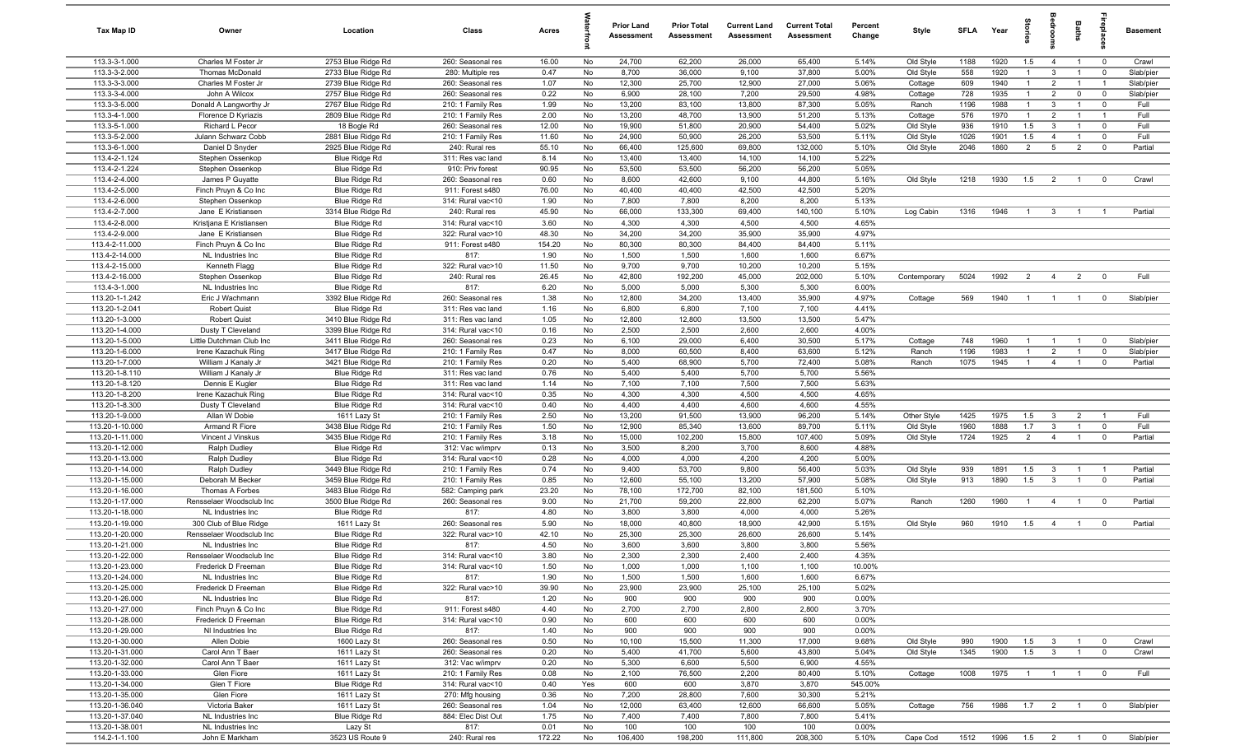| Tax Map ID                         | Owner                                         | Location                                 | Class                                  | Acres          |          | <b>Prior Land</b><br>Assessment | <b>Prior Total</b><br>Assessment | <b>Current Land</b><br>Assessment | <b>Current Total</b><br>Assessment | Percent<br>Change | Style            | <b>SFI A</b> | Year         | Stori                          | droom                          | Baths          | <b>G</b> bia                  | Basement       |
|------------------------------------|-----------------------------------------------|------------------------------------------|----------------------------------------|----------------|----------|---------------------------------|----------------------------------|-----------------------------------|------------------------------------|-------------------|------------------|--------------|--------------|--------------------------------|--------------------------------|----------------|-------------------------------|----------------|
| 113.3-3-1.000                      | Charles M Foster Jr                           | 2753 Blue Ridge Rd                       | 260: Seasonal res                      | 16.00          | No       | 24,700                          | 62,200                           | 26,000                            | 65,400                             | 5.14%             | Old Style        | 1188         | 1920         | 1.5                            | $\overline{4}$                 | $\overline{1}$ | $\mathbf 0$                   | Crawl          |
| 113.3-3-2.000                      | Thomas McDonald                               | 2733 Blue Ridge Rd                       | 280: Multiple res                      | 0.47           | No       | 8,700                           | 36,000                           | 9,100                             | 37,800                             | 5.00%             | Old Style        | 558          | 1920         | $\overline{1}$                 | $\mathbf{3}$                   | $\overline{1}$ | $\mathbf 0$                   | Slab/pier      |
| 113.3-3-3.000                      | Charles M Foster Jr                           | 2739 Blue Ridge Rd                       | 260: Seasonal res                      | 1.07           | No       | 12,300                          | 25,700                           | 12,900                            | 27,000                             | 5.06%             | Cottage          | 609          | 1940         | $\mathbf{1}$                   | $\overline{2}$                 | $\overline{1}$ | $\overline{1}$                | Slab/pier      |
| 113.3-3-4.000                      | John A Wilcox                                 | 2757 Blue Ridge Rd                       | 260: Seasonal res                      | 0.22           | No       | 6,900                           | 28,100                           | 7,200                             | 29,500                             | 4.98%             | Cottage          | 728          | 1935         | $\mathbf{1}$                   | $\overline{2}$                 | $\mathbf 0$    | $\mathbf 0$                   | Slab/pier      |
| 113.3-3-5.000<br>113.3-4-1.000     | Donald A Langworthy Jr<br>Florence D Kyriazis | 2767 Blue Ridge Rd<br>2809 Blue Ridge Rd | 210: 1 Family Res<br>210: 1 Family Res | 1.99<br>2.00   | No<br>No | 13,200<br>13,200                | 83,100<br>48,700                 | 13,800<br>13,900                  | 87,300<br>51,200                   | 5.05%<br>5.13%    | Ranch<br>Cottage | 1196<br>576  | 1988<br>1970 | $\mathbf{1}$<br>$\overline{1}$ | $\mathbf{3}$<br>$\overline{2}$ | $\overline{1}$ | $^{\circ}$<br>-1              | Full<br>Full   |
| 113.3-5-1.000                      | Richard L Pecor                               | 18 Bogle Rd                              | 260: Seasonal res                      | 12.00          | No       | 19,900                          | 51,800                           | 20,900                            | 54,400                             | 5.02%             | Old Style        | 936          | 1910         | 1.5                            | $\mathbf{3}$                   | $\overline{1}$ | $^{\circ}$                    | Full           |
| 113.3-5-2.000                      | Julann Schwarz Cobb                           | 2881 Blue Ridge Rd                       | 210: 1 Family Res                      | 11.60          | No       | 24,900                          | 50,900                           | 26,200                            | 53,500                             | 5.11%             | Old Style        | 1026         | 1901         | 1.5                            | $\overline{4}$                 | $\overline{1}$ | $\mathbf 0$                   | Full           |
| 113.3-6-1.000                      | Daniel D Snyder                               | 2925 Blue Ridge Rd                       | 240: Rural res                         | 55.10          | No       | 66,400                          | 125,600                          | 69,800                            | 132,000                            | 5.10%             | Old Style        | 2046         | 1860         | $\overline{2}$                 | $5\overline{5}$                | $\overline{2}$ | $\overline{0}$                | Partial        |
| 113.4-2-1.124                      | Stephen Ossenkop                              | Blue Ridge Rd                            | 311: Res vac land                      | 8.14           | No       | 13,400                          | 13,400                           | 14,100                            | 14,100                             | 5.22%             |                  |              |              |                                |                                |                |                               |                |
| 113.4-2-1.224                      | Stephen Ossenkop                              | Blue Ridge Rd                            | 910: Priv forest                       | 90.95          | No       | 53,500                          | 53,500                           | 56,200                            | 56,200                             | 5.05%             |                  |              |              |                                |                                |                |                               |                |
| 113.4-2-4.000                      | James P Guyatte                               | Blue Ridge Rd                            | 260: Seasonal res                      | 0.60           | No       | 8,600                           | 42,600                           | 9,100                             | 44,800                             | 5.16%             | Old Style        | 1218         | 1930         | 1.5                            | $\overline{2}$                 | $\overline{1}$ | $^{\circ}$                    | Crawl          |
| 113.4-2-5.000                      | Finch Pruyn & Co Inc                          | <b>Blue Ridge Rd</b>                     | 911: Forest s480                       | 76.00          | No       | 40,400                          | 40,400                           | 42,500                            | 42,500                             | 5.20%             |                  |              |              |                                |                                |                |                               |                |
| 113.4-2-6.000                      | Stephen Ossenkop                              | Blue Ridge Rd                            | 314: Rural vac<10                      | 1.90           | No       | 7,800                           | 7,800                            | 8,200                             | 8,200                              | 5.13%             |                  |              |              |                                |                                |                |                               |                |
| 113.4-2-7.000                      | Jane E Kristiansen                            | 3314 Blue Ridge Rd                       | 240: Rural res                         | 45.90          | No       | 66,000                          | 133,300                          | 69,400                            | 140,100                            | 5.10%             | Log Cabin        | 1316         | 1946         | $\overline{1}$                 | $\mathbf{3}$                   | $\overline{1}$ |                               | Partial        |
| 113.4-2-8.000                      | Kristjana E Kristiansen                       | Blue Ridge Rd                            | 314: Rural vac<10                      | 3.60           | No       | 4,300                           | 4,300                            | 4,500                             | 4,500                              | 4.65%             |                  |              |              |                                |                                |                |                               |                |
| 113.4-2-9.000                      | Jane E Kristiansen                            | Blue Ridge Rd                            | 322: Rural vac>10                      | 48.30          | No       | 34,200<br>80,300                | 34,200                           | 35,900                            | 35,900<br>84,400                   | 4.97%<br>5.11%    |                  |              |              |                                |                                |                |                               |                |
| 113.4-2-11.000<br>113.4-2-14.000   | Finch Pruyn & Co Inc<br>NL Industries Inc.    | Blue Ridge Rd<br>Blue Ridge Rd           | 911: Forest s480<br>817:               | 154.20<br>1.90 | No<br>No | 1,500                           | 80,300<br>1,500                  | 84,400<br>1,600                   | 1,600                              | 6.67%             |                  |              |              |                                |                                |                |                               |                |
| 113.4-2-15.000                     | Kenneth Flagg                                 | Blue Ridge Rd                            | 322: Rural vac>10                      | 11.50          | No       | 9,700                           | 9,700                            | 10,200                            | 10,200                             | 5.15%             |                  |              |              |                                |                                |                |                               |                |
| 113.4-2-16.000                     | Stephen Ossenkop                              | <b>Blue Ridge Rd</b>                     | 240: Rural res                         | 26.45          | No       | 42,800                          | 192,200                          | 45,000                            | 202,000                            | 5.10%             | Contemporary     | 5024         | 1992         | 2                              | $\overline{4}$                 | $\overline{2}$ | $\overline{0}$                | Full           |
| 113.4-3-1.000                      | NL Industries Inc                             | Blue Ridge Rd                            | 817:                                   | 6.20           | No       | 5,000                           | 5,000                            | 5,300                             | 5,300                              | 6.00%             |                  |              |              |                                |                                |                |                               |                |
| 113.20-1-1.242                     | Eric J Wachmann                               | 3392 Blue Ridge Rd                       | 260: Seasonal res                      | 1.38           | No       | 12,800                          | 34,200                           | 13,400                            | 35,900                             | 4.97%             | Cottage          | 569          | 1940         | $\overline{1}$                 | $\overline{1}$                 | $\overline{1}$ | $\overline{0}$                | Slab/pier      |
| 113.20-1-2.041                     | <b>Robert Quist</b>                           | Blue Ridge Rd                            | 311: Res vac land                      | 1.16           | No       | 6,800                           | 6,800                            | 7,100                             | 7,100                              | 4.41%             |                  |              |              |                                |                                |                |                               |                |
| 113.20-1-3.000                     | <b>Robert Quist</b>                           | 3410 Blue Ridge Rd                       | 311: Res vac land                      | 1.05           | No       | 12,800                          | 12,800                           | 13,500                            | 13,500                             | 5.47%             |                  |              |              |                                |                                |                |                               |                |
| 113.20-1-4.000                     | Dusty T Cleveland                             | 3399 Blue Ridge Rd                       | 314: Rural vac<10                      | 0.16           | No       | 2,500                           | 2,500                            | 2,600                             | 2,600                              | 4.00%             |                  |              |              |                                |                                |                |                               |                |
| 113.20-1-5.000                     | Little Dutchman Club Inc                      | 3411 Blue Ridge Rd                       | 260: Seasonal res                      | 0.23           | No       | 6,100                           | 29,000                           | 6,400                             | 30,500                             | 5.17%             | Cottage          | 748          | 1960         | $\overline{1}$                 | $\overline{1}$                 | $\overline{1}$ | $\mathbf 0$                   | Slab/pier      |
| 113.20-1-6.000                     | Irene Kazachuk Ring                           | 3417 Blue Ridge Rd                       | 210: 1 Family Res                      | 0.47           | No       | 8,000                           | 60,500                           | 8,400                             | 63,600                             | 5.12%             | Ranch            | 1196         | 1983         | $\mathbf{1}$                   | $\overline{2}$                 |                | $\mathbf 0$                   | Slab/pier      |
| 113.20-1-7.000                     | William J Kanaly Jr                           | 3421 Blue Ridge Rd                       | 210: 1 Family Res                      | 0.20           | No       | 5,400                           | 68,900                           | 5,700                             | 72,400                             | 5.08%             | Ranch            | 1075         | 1945         | $\overline{1}$                 | $\overline{4}$                 | $\overline{1}$ | $^{\circ}$                    | Partial        |
| 113.20-1-8.110                     | William J Kanaly Jr                           | Blue Ridge Rd                            | 311: Res vac land                      | 0.76           | No       | 5,400<br>7,100                  | 5,400                            | 5,700                             | 5,700<br>7,500                     | 5.56%             |                  |              |              |                                |                                |                |                               |                |
| 113.20-1-8.120<br>113.20-1-8.200   | Dennis E Kugler<br>Irene Kazachuk Ring        | Blue Ridge Rd<br>Blue Ridge Rd           | 311: Res vac land<br>314: Rural vac<10 | 1.14<br>0.35   | No<br>No | 4,300                           | 7,100<br>4,300                   | 7,500<br>4,500                    | 4,500                              | 5.63%<br>4.65%    |                  |              |              |                                |                                |                |                               |                |
| 113.20-1-8.300                     | Dusty T Cleveland                             | Blue Ridge Rd                            | 314: Rural vac<10                      | 0.40           | No       | 4,400                           | 4,400                            | 4,600                             | 4,600                              | 4.55%             |                  |              |              |                                |                                |                |                               |                |
| 113.20-1-9.000                     | Allan W Dobie                                 | 1611 Lazy St                             | 210: 1 Family Res                      | 2.50           | No       | 13,200                          | 91,500                           | 13,900                            | 96,200                             | 5.14%             | Other Style      | 1425         | 1975         | 1.5                            | $\mathbf{3}$                   | $\overline{2}$ | $\overline{1}$                | Full           |
| 113.20-1-10.000                    | Armand R Fiore                                | 3438 Blue Ridge Rd                       | 210: 1 Family Res                      | 1.50           | No       | 12,900                          | 85,340                           | 13,600                            | 89,700                             | 5.11%             | Old Style        | 1960         | 1888         | 1.7                            | $\mathbf{3}$                   | $\overline{1}$ | $^{\circ}$                    | Full           |
| 113.20-1-11.000                    | Vincent J Vinskus                             | 3435 Blue Ridge Rd                       | 210: 1 Family Res                      | 3.18           | No       | 15,000                          | 102,200                          | 15,800                            | 107,400                            | 5.09%             | Old Style        | 1724         | 1925         | $\overline{2}$                 | $\overline{4}$                 | $\overline{1}$ | $^{\circ}$                    | Partial        |
| 113.20-1-12.000                    | Ralph Dudley                                  | Blue Ridge Rd                            | 312: Vac w/imprv                       | 0.13           | No       | 3,500                           | 8,200                            | 3,700                             | 8,600                              | 4.88%             |                  |              |              |                                |                                |                |                               |                |
| 113.20-1-13.000                    | Ralph Dudley                                  | Blue Ridge Rd                            | 314: Rural vac<10                      | 0.28           | No       | 4,000                           | 4,000                            | 4,200                             | 4,200                              | 5.00%             |                  |              |              |                                |                                |                |                               |                |
| 113.20-1-14.000                    | Ralph Dudley                                  | 3449 Blue Ridge Rd                       | 210: 1 Family Res                      | 0.74           | No       | 9,400                           | 53,700                           | 9,800                             | 56,400                             | 5.03%             | Old Style        | 939          | 1891         | 1.5                            | $\mathbf{3}$                   |                | - 1                           | Partial        |
| 113.20-1-15.000                    | Deborah M Becker                              | 3459 Blue Ridge Rd                       | 210: 1 Family Res                      | 0.85           | No       | 12,600                          | 55,100                           | 13,200                            | 57,900                             | 5.08%             | Old Style        | 913          | 1890         | 1.5                            | $\overline{3}$                 | $\overline{1}$ | $\mathbf 0$                   | Partial        |
| 113.20-1-16.000                    | Thomas A Forbes                               | 3483 Blue Ridge Rd                       | 582: Camping park                      | 23.20          | No       | 78,100                          | 172,700                          | 82,100                            | 181,500                            | 5.10%             |                  |              |              |                                |                                |                |                               |                |
| 113.20-1-17.000                    | Rensselaer Woodsclub Inc                      | 3500 Blue Ridge Rd                       | 260: Seasonal res                      | 9.00           | No       | 21,700                          | 59,200                           | 22,800                            | 62,200                             | 5.07%             | Ranch            | 1260         | 1960         | $\overline{1}$                 | $\overline{4}$                 | $\mathbf{1}$   | $\mathbf 0$                   | Partial        |
| 113.20-1-18.000<br>113.20-1-19.000 | NL Industries Inc.<br>300 Club of Blue Ridge  | Blue Ridge Rd<br>1611 Lazy St            | 817:<br>260: Seasonal res              | 4.80<br>5.90   | No<br>No | 3,800<br>18,000                 | 3,800<br>40,800                  | 4,000<br>18,900                   | 4,000<br>42,900                    | 5.26%<br>5.15%    | Old Style        | 960          | 1910         | 1.5                            | $\overline{4}$                 | $\overline{1}$ | $^{\circ}$                    | Partial        |
| 113.20-1-20.000                    | Rensselaer Woodsclub Inc                      | Blue Ridge Rd                            | 322: Rural vac>10                      | 42.10          | No       | 25,300                          | 25,300                           | 26,600                            | 26,600                             | 5.14%             |                  |              |              |                                |                                |                |                               |                |
| 113.20-1-21.000                    | NL Industries Inc                             | Blue Ridge Rd                            | 817:                                   | 4.50           | No       | 3,600                           | 3,600                            | 3,800                             | 3,800                              | 5.56%             |                  |              |              |                                |                                |                |                               |                |
| 113.20-1-22.000                    | Rensselaer Woodsclub Inc                      | Blue Ridge Rd                            | 314: Rural vac<10                      | 3.80           | No       | 2,300                           | 2,300                            | 2,400                             | 2,400                              | 4.35%             |                  |              |              |                                |                                |                |                               |                |
| 113.20-1-23.000                    | Frederick D Freeman                           | Blue Ridge Rd                            | 314: Rural vac<10                      | 1.50           | No       | 1,000                           | 1,000                            | 1,100                             | 1,100                              | 10.00%            |                  |              |              |                                |                                |                |                               |                |
| 113.20-1-24.000                    | NL Industries Inc                             | Blue Ridge Rd                            | 817:                                   | 1.90           | No       | 1,500                           | 1,500                            | 1,600                             | 1,600                              | 6.67%             |                  |              |              |                                |                                |                |                               |                |
| 113.20-1-25.000                    | Frederick D Freeman                           | Blue Ridge Rd                            | 322: Rural vac>10                      | 39.90          | No       | 23,900                          | 23,900                           | 25,100                            | 25,100                             | 5.02%             |                  |              |              |                                |                                |                |                               |                |
| 113.20-1-26.000                    | NL Industries Inc                             | Blue Ridge Rd                            | 817:                                   | 1.20           | No       | 900                             | 900                              | 900                               | 900                                | 0.00%             |                  |              |              |                                |                                |                |                               |                |
| 113.20-1-27.000                    | Finch Pruyn & Co Inc                          | Blue Ridge Rd                            | 911: Forest s480                       | 4.40           | No       | 2,700                           | 2,700                            | 2,800                             | 2,800                              | 3.70%             |                  |              |              |                                |                                |                |                               |                |
| 113.20-1-28.000                    | Frederick D Freeman                           | Blue Ridge Rd                            | 314: Rural vac<10                      | 0.90           | No       | 600                             | 600                              | 600                               | 600                                | 0.00%             |                  |              |              |                                |                                |                |                               |                |
| 113.20-1-29.000                    | NI Industries Inc                             | Blue Ridge Rd                            | 817:                                   | 1.40           | No       | 900                             | 900                              | 900                               | 900                                | 0.00%             |                  |              |              |                                |                                |                |                               |                |
| 113.20-1-30.000<br>113.20-1-31.000 | Allen Dobie<br>Carol Ann T Baer               | 1600 Lazy St<br>1611 Lazy St             | 260: Seasonal res                      | 0.50<br>0.20   | No<br>No | 10,100<br>5,400                 | 15,500<br>41,700                 | 11,300<br>5,600                   | 17,000<br>43,800                   | 9.68%<br>5.04%    | Old Style        | 990<br>1345  | 1900<br>1900 | 1.5<br>1.5                     | $\mathbf{3}$<br>$\mathbf{3}$   | $\overline{1}$ | $\overline{0}$<br>$\mathbf 0$ | Crawl<br>Crawl |
| 113.20-1-32.000                    | Carol Ann T Baer                              | 1611 Lazy St                             | 260: Seasonal res<br>312: Vac w/imprv  | 0.20           | No       | 5,300                           | 6,600                            | 5,500                             | 6,900                              | 4.55%             | Old Style        |              |              |                                |                                |                |                               |                |
| 113.20-1-33.000                    | Glen Fiore                                    | 1611 Lazy St                             | 210: 1 Family Res                      | 0.08           | No       | 2,100                           | 76,500                           | 2,200                             | 80,400                             | 5.10%             | Cottage          | 1008         | 1975         | $\overline{1}$                 | $\overline{1}$                 | $\overline{1}$ | $\mathbf 0$                   | Full           |
| 113.20-1-34.000                    | Glen T Fiore                                  | Blue Ridge Rd                            | 314: Rural vac<10                      | 0.40           | Yes      | 600                             | 600                              | 3,870                             | 3,870                              | 545.00%           |                  |              |              |                                |                                |                |                               |                |
| 113.20-1-35.000                    | Glen Fiore                                    | 1611 Lazy St                             | 270: Mfg housing                       | 0.36           | No       | 7,200                           | 28,800                           | 7,600                             | 30,300                             | 5.21%             |                  |              |              |                                |                                |                |                               |                |
| 113.20-1-36.040                    | Victoria Baker                                | 1611 Lazy St                             | 260: Seasonal res                      | 1.04           | No       | 12,000                          | 63,400                           | 12,600                            | 66,600                             | 5.05%             | Cottage          | 756          | 1986         | 1.7                            | $\overline{2}$                 | $\overline{1}$ | $^{\circ}$                    | Slab/pier      |
| 113.20-1-37.040                    | NL Industries Inc                             | Blue Ridge Rd                            | 884: Elec Dist Out                     | 1.75           | No       | 7,400                           | 7,400                            | 7,800                             | 7,800                              | 5.41%             |                  |              |              |                                |                                |                |                               |                |
| 113.20-1-38.001                    | NL Industries Inc                             | Lazy St                                  | 817:                                   | 0.01           | No       | 100                             | 100                              | 100                               | 100                                | 0.00%             |                  |              |              |                                |                                |                |                               |                |
| 114.2-1-1.100                      | John E Markham                                | 3523 US Route 9                          | 240: Rural res                         | 172.22         | No       | 106,400                         | 198,200                          | 111,800                           | 208,300                            | 5.10%             | Cape Cod         | 1512         | 1996 1.5 2 1 |                                |                                |                | $\overline{\mathbf{0}}$       | Slab/pier      |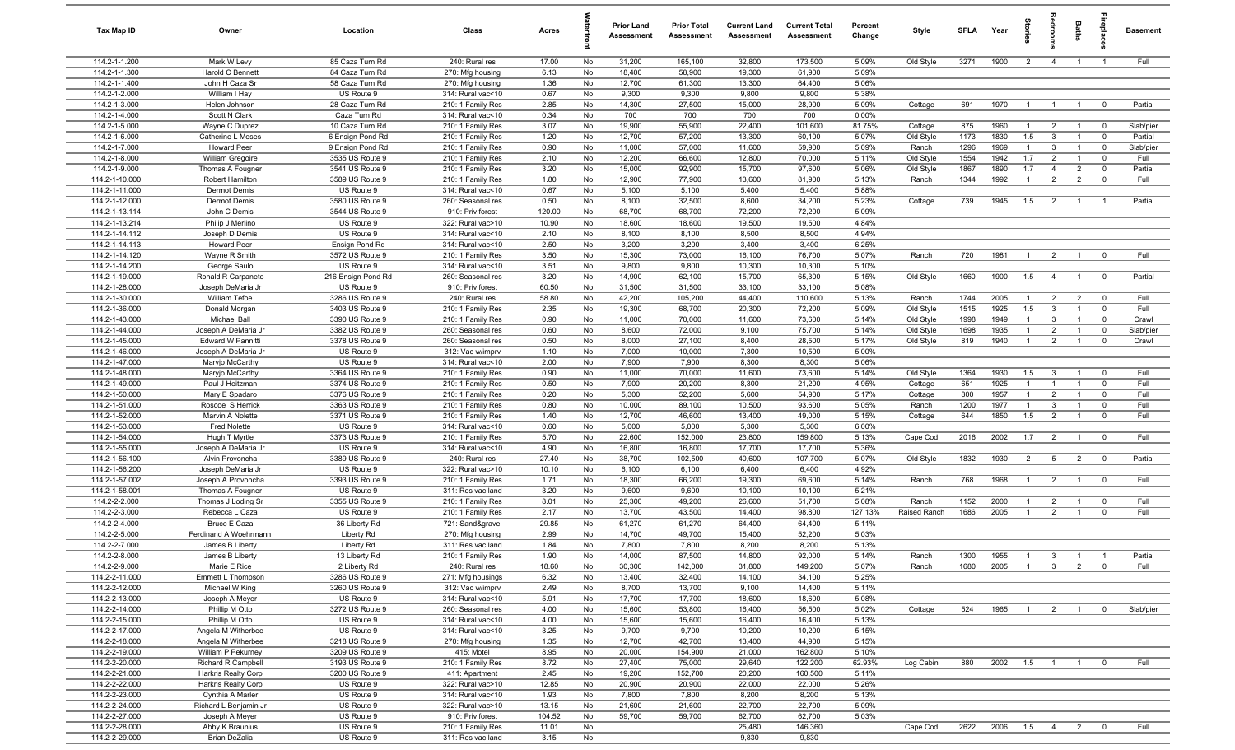| Tax Map ID                       | Owner                                    | Location                            | Class                                  | Acres          |          | <b>Prior Land</b><br>Assessment | <b>Prior Total</b><br>Assessment | <b>Current Land</b><br><b>Assessment</b> | <b>Current Total</b><br><b>Assessment</b> | Percent<br>Change | Style                  | <b>SFLA</b>  | Year         | Stories               |                                | Baths                            | epla                          | <b>Basement</b>      |
|----------------------------------|------------------------------------------|-------------------------------------|----------------------------------------|----------------|----------|---------------------------------|----------------------------------|------------------------------------------|-------------------------------------------|-------------------|------------------------|--------------|--------------|-----------------------|--------------------------------|----------------------------------|-------------------------------|----------------------|
| 114.2-1-1.200                    | Mark W Levy                              | 85 Caza Turn Rd                     | 240: Rural res                         | 17.00          | No       | 31,200                          | 165,100                          | 32,800                                   | 173,500                                   | 5.09%             | Old Style              | 3271         | 1900         | $\overline{2}$        | $\overline{4}$                 | $\overline{1}$                   | $\overline{1}$                | Full                 |
| 114.2-1-1.300                    | Harold C Bennett                         | 84 Caza Turn Rd                     | 270: Mfg housing                       | 6.13           | No       | 18,400                          | 58,900                           | 19,300                                   | 61,900                                    | 5.09%             |                        |              |              |                       |                                |                                  |                               |                      |
| 114.2-1-1.400                    | John H Caza Sr                           | 58 Caza Turn Rd                     | 270: Mfg housing                       | 1.36           | No       | 12,700                          | 61,300                           | 13,300                                   | 64,400                                    | 5.06%             |                        |              |              |                       |                                |                                  |                               |                      |
| 114.2-1-2.000                    | William I Hay                            | US Route 9                          | 314: Rural vac<10                      | 0.67           | No       | 9,300                           | 9,300                            | 9,800                                    | 9,800                                     | 5.38%             |                        |              |              |                       |                                |                                  |                               |                      |
| 114.2-1-3.000                    | Helen Johnson                            | 28 Caza Turn Rd                     | 210: 1 Family Res                      | 2.85           | No       | 14,300                          | 27,500                           | 15,000                                   | 28,900                                    | 5.09%             | Cottage                | 691          | 1970         | $\overline{1}$        | $\overline{1}$                 | $\overline{1}$                   | $\overline{0}$                | Partial              |
| 114.2-1-4.000                    | Scott N Clark                            | Caza Turn Rd                        | 314: Rural vac<10                      | 0.34           | No       | 700                             | 700                              | 700                                      | 700                                       | 0.00%             |                        |              |              | $\overline{1}$        |                                |                                  |                               |                      |
| 114.2-1-5.000<br>114.2-1-6.000   | Wayne C Duprez<br>Catherine L Moses      | 10 Caza Turn Rd<br>6 Ensign Pond Rd | 210: 1 Family Res<br>210: 1 Family Res | 3.07<br>1.20   | No<br>No | 19,900<br>12,700                | 55,900<br>57,200                 | 22,400<br>13,300                         | 101,600<br>60,100                         | 81.75%<br>5.07%   | Cottage<br>Old Style   | 875<br>1173  | 1960<br>1830 | 1.5                   | $\overline{2}$<br>$\mathbf{3}$ | $\overline{1}$<br>$\overline{1}$ | $\overline{0}$<br>$\mathbf 0$ | Slab/pier<br>Partial |
| 114.2-1-7.000                    | <b>Howard Peer</b>                       | 9 Ensign Pond Rd                    | 210: 1 Family Res                      | 0.90           | No       | 11,000                          | 57,000                           | 11,600                                   | 59,900                                    | 5.09%             | Ranch                  | 1296         | 1969         | $\overline{1}$        | $\mathbf{3}$                   | $\overline{1}$                   | $\overline{\mathbf{0}}$       | Slab/pier            |
| 114.2-1-8.000                    | William Gregoire                         | 3535 US Route 9                     | 210: 1 Family Res                      | 2.10           | No       | 12,200                          | 66,600                           | 12,800                                   | 70,000                                    | 5.11%             | Old Style              | 1554         | 1942         | 1.7                   | $\overline{2}$                 | $\overline{1}$                   | $\overline{0}$                | Full                 |
| 114.2-1-9.000                    | Thomas A Fougner                         | 3541 US Route 9                     | 210: 1 Family Res                      | 3.20           | No       | 15,000                          | 92,900                           | 15,700                                   | 97,600                                    | 5.06%             | Old Style              | 1867         | 1890         | 1.7                   | $\overline{4}$                 | $\overline{2}$                   | $\mathbf 0$                   | Partial              |
| 114.2-1-10.000                   | <b>Robert Hamilton</b>                   | 3589 US Route 9                     | 210: 1 Family Res                      | 1.80           | No       | 12,900                          | 77,900                           | 13,600                                   | 81,900                                    | 5.13%             | Ranch                  | 1344         | 1992         | $\overline{1}$        | $\overline{2}$                 | $\overline{2}$                   | $\overline{0}$                | Full                 |
| 114.2-1-11.000                   | Dermot Demis                             | US Route 9                          | 314: Rural vac<10                      | 0.67           | No       | 5,100                           | 5,100                            | 5,400                                    | 5,400                                     | 5.88%             |                        |              |              |                       |                                |                                  |                               |                      |
| 114.2-1-12.000                   | Dermot Demis                             | 3580 US Route 9                     | 260: Seasonal res                      | 0.50           | No       | 8,100                           | 32,500                           | 8,600                                    | 34,200                                    | 5.23%             | Cottage                | 739          | 1945         | 1.5                   | $\overline{2}$                 | $\overline{1}$                   | $\overline{1}$                | Partial              |
| 114.2-1-13.114                   | John C Demis                             | 3544 US Route 9                     | 910: Priv forest                       | 120.00         | No       | 68,700                          | 68,700                           | 72,200                                   | 72,200                                    | 5.09%             |                        |              |              |                       |                                |                                  |                               |                      |
| 114.2-1-13.214                   | Philip J Merlino                         | US Route 9                          | 322: Rural vac>10                      | 10.90          | No       | 18,600                          | 18,600                           | 19,500                                   | 19,500                                    | 4.84%             |                        |              |              |                       |                                |                                  |                               |                      |
| 114.2-1-14.112                   | Joseph D Demis                           | US Route 9                          | 314: Rural vac<10                      | 2.10           | No       | 8,100                           | 8,100                            | 8,500                                    | 8,500                                     | 4.94%             |                        |              |              |                       |                                |                                  |                               |                      |
| 114.2-1-14.113                   | <b>Howard Peer</b>                       | Ensign Pond Rd                      | 314: Rural vac<10                      | 2.50           | No       | 3,200                           | 3,200                            | 3,400                                    | 3,400                                     | 6.25%             |                        |              |              |                       |                                |                                  |                               |                      |
| 114.2-1-14.120                   | Wayne R Smith                            | 3572 US Route 9                     | 210: 1 Family Res                      | 3.50           | No       | 15,300                          | 73,000                           | 16,100                                   | 76,700                                    | 5.07%             | Ranch                  | 720          | 1981         | $\overline{1}$        | $\overline{2}$                 | $\overline{1}$                   | $\mathbf 0$                   | Full                 |
| 114.2-1-14.200                   | George Saulo                             | US Route 9                          | 314: Rural vac<10                      | 3.51           | No       | 9,800                           | 9,800                            | 10,300                                   | 10,300                                    | 5.10%             |                        |              |              |                       |                                |                                  |                               |                      |
| 114.2-1-19.000                   | Ronald R Carpaneto                       | 216 Ensign Pond Rd                  | 260: Seasonal res                      | 3.20           | No       | 14,900                          | 62,100                           | 15,700                                   | 65,300                                    | 5.15%             | Old Style              | 1660         | 1900         | 1.5                   | $\overline{4}$                 | $\overline{1}$                   | $\overline{0}$                | Partial              |
| 114.2-1-28.000                   | Joseph DeMaria Jr                        | US Route 9                          | 910: Priv forest                       | 60.50          | No       | 31,500                          | 31,500                           | 33,100                                   | 33,100                                    | 5.08%             |                        |              |              |                       |                                |                                  |                               |                      |
| 114.2-1-30.000                   | William Tefoe                            | 3286 US Route 9<br>3403 US Route 9  | 240: Rural res                         | 58.80          | No       | 42,200<br>19,300                | 105,200<br>68,700                | 44,400<br>20,300                         | 110,600                                   | 5.13%<br>5.09%    | Ranch                  | 1744         | 2005<br>1925 | $\overline{1}$<br>1.5 | $\overline{2}$<br>$\mathbf{3}$ | $\overline{2}$<br>$\overline{1}$ | $\overline{0}$                | Full<br>Full         |
| 114.2-1-36.000<br>114.2-1-43.000 | Donald Morgan<br>Michael Ball            | 3390 US Route 9                     | 210: 1 Family Res<br>210: 1 Family Res | 2.35<br>0.90   | No<br>No | 11,000                          | 70,000                           | 11,600                                   | 72,200<br>73,600                          | 5.14%             | Old Style<br>Old Style | 1515<br>1998 | 1949         | $\overline{1}$        | $\mathbf{3}$                   | $\overline{1}$                   | $\mathbf 0$<br>$\mathbf 0$    | Crawl                |
| 114.2-1-44.000                   | Joseph A DeMaria Jr                      | 3382 US Route 9                     | 260: Seasonal res                      | 0.60           | No       | 8,600                           | 72,000                           | 9,100                                    | 75,700                                    | 5.14%             | Old Style              | 1698         | 1935         | $\overline{1}$        | $\overline{2}$                 | $\overline{1}$                   | $\mathbf 0$                   | Slab/pier            |
| 114.2-1-45.000                   | Edward W Pannitti                        | 3378 US Route 9                     | 260: Seasonal res                      | 0.50           | No       | 8,000                           | 27,100                           | 8,400                                    | 28,500                                    | 5.17%             | Old Style              | 819          | 1940         | $\overline{1}$        | $\overline{2}$                 | $\overline{1}$                   | $\mathbf 0$                   | Crawl                |
| 114.2-1-46.000                   | Joseph A DeMaria Jr                      | US Route 9                          | 312: Vac w/imprv                       | 1.10           | No       | 7,000                           | 10,000                           | 7,300                                    | 10,500                                    | 5.00%             |                        |              |              |                       |                                |                                  |                               |                      |
| 114.2-1-47.000                   | Maryjo McCarthy                          | US Route 9                          | 314: Rural vac<10                      | 2.00           | No       | 7,900                           | 7,900                            | 8,300                                    | 8,300                                     | 5.06%             |                        |              |              |                       |                                |                                  |                               |                      |
| 114.2-1-48.000                   | Maryjo McCarthy                          | 3364 US Route 9                     | 210: 1 Family Res                      | 0.90           | No       | 11,000                          | 70,000                           | 11,600                                   | 73,600                                    | 5.14%             | Old Style              | 1364         | 1930         | 1.5                   | $\overline{3}$                 | $\overline{1}$                   | $\overline{0}$                | Full                 |
| 114.2-1-49.000                   | Paul J Heitzman                          | 3374 US Route 9                     | 210: 1 Family Res                      | 0.50           | No       | 7,900                           | 20,200                           | 8,300                                    | 21,200                                    | 4.95%             | Cottage                | 651          | 1925         | $\overline{1}$        | -1                             | $\overline{1}$                   | $\mathbf 0$                   | Full                 |
| 114.2-1-50.000                   | Mary E Spadaro                           | 3376 US Route 9                     | 210: 1 Family Res                      | 0.20           | No       | 5,300                           | 52,200                           | 5,600                                    | 54,900                                    | 5.17%             | Cottage                | 800          | 1957         | $\overline{1}$        | $\overline{2}$                 | $\overline{1}$                   | $\mathbf 0$                   | Full                 |
| 114.2-1-51.000                   | Roscoe S Herrick                         | 3363 US Route 9                     | 210: 1 Family Res                      | 0.80           | No       | 10,000                          | 89,100                           | 10,500                                   | 93,600                                    | 5.05%             | Ranch                  | 1200         | 1977         | $\overline{1}$        | 3                              | $\overline{1}$                   | $\mathbf 0$                   | Full                 |
| 114.2-1-52.000                   | Marvin A Nolette                         | 3371 US Route 9                     | 210: 1 Family Res                      | 1.40           | No       | 12,700                          | 46,600                           | 13,400                                   | 49,000                                    | 5.15%             | Cottage                | 644          | 1850         | 1.5                   | $\overline{2}$                 |                                  | $\mathbf{0}$                  | Full                 |
| 114.2-1-53.000                   | <b>Fred Nolette</b>                      | US Route 9                          | 314: Rural vac<10                      | 0.60           | No       | 5,000                           | 5,000                            | 5,300                                    | 5,300                                     | 6.00%             |                        |              |              |                       |                                |                                  |                               |                      |
| 114.2-1-54.000                   | Hugh T Myrtle                            | 3373 US Route 9                     | 210: 1 Family Res                      | 5.70           | No       | 22,600                          | 152,000                          | 23,800                                   | 159,800                                   | 5.13%             | Cape Cod               | 2016         | 2002         | 1.7                   | $\overline{2}$                 | $\overline{1}$                   | $\overline{0}$                | Full                 |
| 114.2-1-55.000                   | Joseph A DeMaria Jr                      | US Route 9                          | 314: Rural vac<10                      | 4.90           | No       | 16,800                          | 16,800                           | 17,700                                   | 17,700                                    | 5.36%             |                        |              |              |                       |                                |                                  |                               |                      |
| 114.2-1-56.100<br>114.2-1-56.200 | Alvin Provoncha<br>Joseph DeMaria Jr     | 3389 US Route 9<br>US Route 9       | 240: Rural res<br>322: Rural vac>10    | 27.40<br>10.10 | No<br>No | 38,700<br>6,100                 | 102,500<br>6,100                 | 40,600<br>6,400                          | 107,700<br>6,400                          | 5.07%<br>4.92%    | Old Style              | 1832         | 1930         | $\overline{2}$        | $5\overline{5}$                | $\overline{2}$                   | $\overline{\mathbf{0}}$       | Partial              |
| 114.2-1-57.002                   | Joseph A Provoncha                       | 3393 US Route 9                     | 210: 1 Family Res                      | 1.71           | No       | 18,300                          | 66,200                           | 19,300                                   | 69,600                                    | 5.14%             | Ranch                  | 768          | 1968         | $\overline{1}$        | $\overline{2}$                 | $\overline{1}$                   | $\overline{0}$                | Full                 |
| 114.2-1-58.001                   | Thomas A Fougner                         | US Route 9                          | 311: Res vac land                      | 3.20           | No       | 9,600                           | 9,600                            | 10,100                                   | 10,100                                    | 5.21%             |                        |              |              |                       |                                |                                  |                               |                      |
| 114.2-2-2.000                    | Thomas J Loding Sr                       | 3355 US Route 9                     | 210: 1 Family Res                      | 8.01           | No       | 25,300                          | 49,200                           | 26,600                                   | 51,700                                    | 5.08%             | Ranch                  | 1152         | 2000         | $\overline{1}$        | $\overline{2}$                 | $\overline{1}$                   | $\mathbf 0$                   | Full                 |
| 114.2-2-3.000                    | Rebecca L Caza                           | US Route 9                          | 210: 1 Family Res                      | 2.17           | No       | 13,700                          | 43,500                           | 14,400                                   | 98,800                                    | 127.13%           | Raised Ranch           | 1686         | 2005         | $\overline{1}$        | 2                              | $\overline{1}$                   | $\mathbf 0$                   | Full                 |
| 114.2-2-4.000                    | <b>Bruce E Caza</b>                      | 36 Liberty Rd                       | 721: Sand&gravel                       | 29.85          | No       | 61,270                          | 61,270                           | 64,400                                   | 64,400                                    | 5.11%             |                        |              |              |                       |                                |                                  |                               |                      |
| 114.2-2-5.000                    | Ferdinand A Woehrmann                    | Liberty Rd                          | 270: Mfg housing                       | 2.99           | No       | 14,700                          | 49,700                           | 15,400                                   | 52,200                                    | 5.03%             |                        |              |              |                       |                                |                                  |                               |                      |
| 114.2-2-7.000                    | James B Liberty                          | Liberty Rd                          | 311: Res vac land                      | 1.84           | No       | 7,800                           | 7,800                            | 8,200                                    | 8,200                                     | 5.13%             |                        |              |              |                       |                                |                                  |                               |                      |
| 114.2-2-8.000                    | James B Liberty                          | 13 Liberty Rd                       | 210: 1 Family Res                      | 1.90           | No       | 14,000                          | 87,500                           | 14,800                                   | 92,000                                    | 5.14%             | Ranch                  | 1300         | 1955         |                       | -3                             |                                  |                               | Partial              |
| 114.2-2-9.000                    | Marie E Rice                             | 2 Liberty Rd                        | 240: Rural res                         | 18.60          | No       | 30,300                          | 142,000                          | 31,800                                   | 149,200                                   | 5.07%             | Ranch                  | 1680         | 2005         | $\overline{1}$        | $\overline{3}$                 | $\overline{2}$                   | $\mathbf 0$                   | Full                 |
| 114.2-2-11.000                   | Emmett L Thompson                        | 3286 US Route 9                     | 271: Mfg housings                      | 6.32           | No       | 13,400                          | 32,400                           | 14,100                                   | 34,100                                    | 5.25%             |                        |              |              |                       |                                |                                  |                               |                      |
| 114.2-2-12.000                   | Michael W King                           | 3260 US Route 9                     | 312: Vac w/imprv                       | 2.49           | No       | 8,700                           | 13,700                           | 9,100                                    | 14,400                                    | 5.11%             |                        |              |              |                       |                                |                                  |                               |                      |
| 114.2-2-13.000                   | Joseph A Meyer                           | US Route 9                          | 314: Rural vac<10                      | 5.91           | No       | 17,700                          | 17,700                           | 18,600                                   | 18,600                                    | 5.08%             |                        |              |              |                       |                                |                                  |                               |                      |
| 114.2-2-14.000                   | Phillip M Otto                           | 3272 US Route 9<br>US Route 9       | 260: Seasonal res                      | 4.00           | No       | 15,600                          | 53,800                           | 16,400                                   | 56,500<br>16,400                          | 5.02%             | Cottage                | 524          | 1965         | $\overline{1}$        | $\overline{2}$                 | $\overline{1}$                   | $\mathbf 0$                   | Slab/pier            |
| 114.2-2-15.000                   | Phillip M Otto                           |                                     | 314: Rural vac<10                      | 4.00           | No       | 15,600                          | 15,600                           | 16,400                                   |                                           | 5.13%             |                        |              |              |                       |                                |                                  |                               |                      |
| 114.2-2-17.000<br>114.2-2-18.000 | Angela M Witherbee<br>Angela M Witherbee | US Route 9<br>3218 US Route 9       | 314: Rural vac<10<br>270: Mfg housing  | 3.25<br>1.35   | No<br>No | 9,700<br>12,700                 | 9,700<br>42,700                  | 10,200<br>13,400                         | 10,200<br>44,900                          | 5.15%<br>5.15%    |                        |              |              |                       |                                |                                  |                               |                      |
| 114.2-2-19.000                   | William P Pekurney                       | 3209 US Route 9                     | 415: Motel                             | 8.95           | No       | 20,000                          | 154,900                          | 21,000                                   | 162,800                                   | 5.10%             |                        |              |              |                       |                                |                                  |                               |                      |
| 114.2-2-20.000                   | Richard R Campbell                       | 3193 US Route 9                     | 210: 1 Family Res                      | 8.72           | No       | 27,400                          | 75,000                           | 29,640                                   | 122,200                                   | 62.93%            | Log Cabin              | 880          | 2002         | 1.5                   | $\overline{1}$                 | $\overline{1}$                   | $\overline{0}$                | Full                 |
| 114.2-2-21.000                   | Harkris Realty Corp                      | 3200 US Route 9                     | 411: Apartment                         | 2.45           | No       | 19,200                          | 152,700                          | 20,200                                   | 160,500                                   | 5.11%             |                        |              |              |                       |                                |                                  |                               |                      |
| 114.2-2-22.000                   | Harkris Realty Corp                      | US Route 9                          | 322: Rural vac>10                      | 12.85          | No       | 20,900                          | 20,900                           | 22,000                                   | 22,000                                    | 5.26%             |                        |              |              |                       |                                |                                  |                               |                      |
| 114.2-2-23.000                   | Cynthia A Marler                         | US Route 9                          | 314: Rural vac<10                      | 1.93           | No       | 7,800                           | 7,800                            | 8,200                                    | 8,200                                     | 5.13%             |                        |              |              |                       |                                |                                  |                               |                      |
| 114.2-2-24.000                   | Richard L Benjamin Jr                    | US Route 9                          | 322: Rural vac>10                      | 13.15          | No       | 21,600                          | 21,600                           | 22,700                                   | 22,700                                    | 5.09%             |                        |              |              |                       |                                |                                  |                               |                      |
| 114.2-2-27.000                   | Joseph A Meyer                           | US Route 9                          | 910: Priv forest                       | 104.52         | No       | 59,700                          | 59,700                           | 62,700                                   | 62,700                                    | 5.03%             |                        |              |              |                       |                                |                                  |                               |                      |
| 114.2-2-28.000                   | Abby K Braunius                          | US Route 9                          | 210: 1 Family Res                      | 11.01          | No       |                                 |                                  | 25,480                                   | 146,360                                   |                   | Cape Cod               | 2622         | 2006         | 1.5                   | $\overline{4}$                 | $\overline{2}$                   | $\mathbf 0$                   | Full                 |
| 114.2-2-29.000                   | Brian DeZalia                            | US Route 9                          | 311: Res vac land                      | 3.15           | No       |                                 |                                  | 9,830                                    | 9,830                                     |                   |                        |              |              |                       |                                |                                  |                               |                      |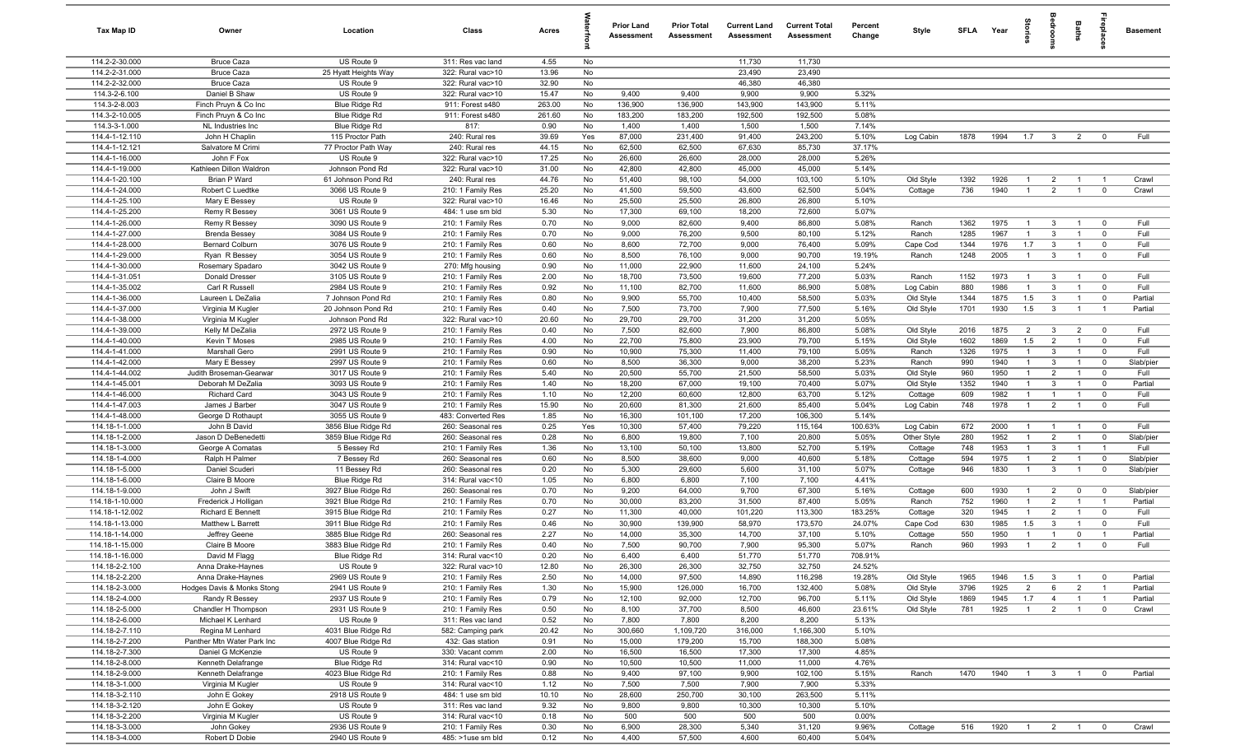| Tax Map ID                        | Owner                                     | Location                              | Class                                   | Acres            |           | <b>Prior Land</b><br>Assessment | <b>Prior Total</b><br>Assessment | <b>Current Land</b><br>Assessment | <b>Current Total</b><br>Assessment | Percent<br>Change | Style       | <b>SFI A</b> | Year | tories                | a<br>So                 | Baths          | epla                    | <b>Basement</b> |
|-----------------------------------|-------------------------------------------|---------------------------------------|-----------------------------------------|------------------|-----------|---------------------------------|----------------------------------|-----------------------------------|------------------------------------|-------------------|-------------|--------------|------|-----------------------|-------------------------|----------------|-------------------------|-----------------|
| 114.2-2-30.000                    | <b>Bruce Caza</b>                         | US Route 9                            | 311: Res vac land                       | 4.55             | No        |                                 |                                  | 11,730                            | 11,730                             |                   |             |              |      |                       |                         |                |                         |                 |
| 114.2-2-31.000                    | <b>Bruce Caza</b>                         | 25 Hyatt Heights Way                  | 322: Rural vac>10                       | 13.96            | No        |                                 |                                  | 23,490                            | 23,490                             |                   |             |              |      |                       |                         |                |                         |                 |
| 114.2-2-32.000                    | <b>Bruce Caza</b>                         | US Route 9                            | 322: Rural vac>10                       | 32.90            | No        |                                 |                                  | 46,380                            | 46,380                             |                   |             |              |      |                       |                         |                |                         |                 |
| 114.3-2-6.100                     | Daniel B Shaw                             | US Route 9                            | 322: Rural vac>10                       | 15.47            | No        | 9,400                           | 9,400                            | 9,900                             | 9,900                              | 5.32%             |             |              |      |                       |                         |                |                         |                 |
| 114.3-2-8.003<br>114.3-2-10.005   | Finch Pruyn & Co Inc                      | Blue Ridge Rd                         | 911: Forest s480                        | 263.00<br>261.60 | No<br>No  | 136,900<br>183,200              | 136,900<br>183,200               | 143,900<br>192,500                | 143,900<br>192,500                 | 5.11%<br>5.08%    |             |              |      |                       |                         |                |                         |                 |
| 114.3-3-1.000                     | Finch Pruyn & Co Inc<br>NL Industries Inc | Blue Ridge Rd<br>Blue Ridge Rd        | 911: Forest s480<br>817:                | 0.90             | No        | 1,400                           | 1,400                            | 1,500                             | 1,500                              | 7.14%             |             |              |      |                       |                         |                |                         |                 |
| 114.4-1-12.110                    | John H Chaplin                            | 115 Proctor Path                      | 240: Rural res                          | 39.69            | Yes       | 87,000                          | 231,400                          | 91,400                            | 243,200                            | 5.10%             | Log Cabin   | 1878         | 1994 | 1.7                   | $\overline{\mathbf{3}}$ | $\overline{2}$ | $\mathbf 0$             | Full            |
| 114.4-1-12.121                    | Salvatore M Crimi                         | 77 Proctor Path Way                   | 240: Rural res                          | 44.15            | No        | 62,500                          | 62,500                           | 67,630                            | 85,730                             | 37.17%            |             |              |      |                       |                         |                |                         |                 |
| 114.4-1-16.000                    | John F Fox                                | US Route 9                            | 322: Rural vac>10                       | 17.25            | No        | 26,600                          | 26,600                           | 28,000                            | 28,000                             | 5.26%             |             |              |      |                       |                         |                |                         |                 |
| 114.4-1-19.000                    | Kathleen Dillon Waldron                   | Johnson Pond Rd                       | 322: Rural vac>10                       | 31.00            | No        | 42,800                          | 42,800                           | 45,000                            | 45,000                             | 5.14%             |             |              |      |                       |                         |                |                         |                 |
| 114.4-1-20.100                    | Brian P Ward                              | 61 Johnson Pond Rd                    | 240: Rural res                          | 44.76            | No        | 51,400                          | 98,100                           | 54,000                            | 103,100                            | 5.10%             | Old Style   | 1392         | 1926 | $\overline{1}$        | $\overline{2}$          | $\overline{1}$ | $\overline{1}$          | Crawl           |
| 114.4-1-24.000                    | Robert C Luedtke                          | 3066 US Route 9                       | 210: 1 Family Res                       | 25.20            | No        | 41,500                          | 59,500                           | 43,600                            | 62,500                             | 5.04%             | Cottage     | 736          | 1940 | $\overline{1}$        | 2                       | $\overline{1}$ | $\mathbf 0$             | Crawl           |
| 114.4-1-25.100                    | Mary E Bessey                             | US Route 9                            | 322: Rural vac>10                       | 16.46            | No        | 25,500                          | 25,500                           | 26,800                            | 26,800                             | 5.10%             |             |              |      |                       |                         |                |                         |                 |
| 114.4-1-25.200                    | Remy R Bessey                             | 3061 US Route 9                       | 484: 1 use sm bld                       | 5.30             | No        | 17,300                          | 69,100                           | 18,200                            | 72,600                             | 5.07%             |             |              |      |                       |                         |                |                         |                 |
| 114.4-1-26.000                    | Remy R Bessey                             | 3090 US Route 9                       | 210: 1 Family Res                       | 0.70             | No        | 9,000                           | 82,600                           | 9,400                             | 86,800                             | 5.08%             | Ranch       | 1362         | 1975 | $\overline{1}$        | $\mathbf{3}$            | $\overline{1}$ | $\mathbf 0$             | Full            |
| 114.4-1-27.000                    | <b>Brenda Bessey</b>                      | 3084 US Route 9                       | 210: 1 Family Res                       | 0.70             | No        | 9,000                           | 76,200                           | 9,500                             | 80,100                             | 5.12%             | Ranch       | 1285         | 1967 | $\overline{1}$        | 3                       | $\overline{1}$ | $\mathbf 0$             | Full            |
| 114.4-1-28.000                    | <b>Bernard Colburn</b>                    | 3076 US Route 9                       | 210: 1 Family Res                       | 0.60             | No        | 8,600                           | 72,700                           | 9,000                             | 76,400                             | 5.09%             | Cape Cod    | 1344         | 1976 | 1.7<br>$\overline{1}$ | $\mathbf{3}$            | $\overline{1}$ | $\mathbf 0$             | Full            |
| 114.4-1-29.000<br>114.4-1-30.000  | Ryan R Bessey                             | 3054 US Route 9<br>3042 US Route 9    | 210: 1 Family Res<br>270: Mfg housing   | 0.60<br>0.90     | No<br>No  | 8,500<br>11,000                 | 76,100<br>22,900                 | 9,000<br>11,600                   | 90,700<br>24,100                   | 19.19%<br>5.24%   | Ranch       | 1248         | 2005 |                       | 3                       |                | $\mathbf 0$             | Full            |
| 114.4-1-31.051                    | Rosemary Spadaro<br><b>Donald Dresser</b> | 3105 US Route 9                       | 210: 1 Family Res                       | 2.00             | No        | 18,700                          | 73,500                           | 19,600                            | 77,200                             | 5.03%             | Ranch       | 1152         | 1973 | $\overline{1}$        | $\mathbf{3}$            | $\overline{1}$ | $\overline{0}$          | Full            |
| 114.4-1-35.002                    | Carl R Russell                            | 2984 US Route 9                       | 210: 1 Family Res                       | 0.92             | No        | 11,100                          | 82,700                           | 11,600                            | 86,900                             | 5.08%             | Log Cabin   | 880          | 1986 | $\overline{1}$        | $\mathbf{3}$            | $\overline{1}$ | $\mathbf 0$             | Full            |
| 114.4-1-36.000                    | Laureen L DeZalia                         | 7 Johnson Pond Rd                     | 210: 1 Family Res                       | 0.80             | No        | 9,900                           | 55,700                           | 10,400                            | 58,500                             | 5.03%             | Old Style   | 1344         | 1875 | 1.5                   | $\mathbf{3}$            | $\overline{1}$ | $\mathbf 0$             | Partial         |
| 114.4-1-37.000                    | Virginia M Kugler                         | 20 Johnson Pond Rd                    | 210: 1 Family Res                       | 0.40             | No        | 7,500                           | 73,700                           | 7,900                             | 77,500                             | 5.16%             | Old Style   | 1701         | 1930 | 1.5                   | $\mathbf{3}$            | $\overline{1}$ | $\overline{1}$          | Partial         |
| 114.4-1-38.000                    | Virginia M Kugler                         | Johnson Pond Rd                       | 322: Rural vac>10                       | 20.60            | No        | 29,700                          | 29,700                           | 31,200                            | 31,200                             | 5.05%             |             |              |      |                       |                         |                |                         |                 |
| 114.4-1-39.000                    | Kelly M DeZalia                           | 2972 US Route 9                       | 210: 1 Family Res                       | 0.40             | No        | 7,500                           | 82,600                           | 7,900                             | 86,800                             | 5.08%             | Old Style   | 2016         | 1875 | $\overline{2}$        | $\mathbf{3}$            | $\overline{2}$ | $\mathbf 0$             | Full            |
| 114.4-1-40.000                    | Kevin T Moses                             | 2985 US Route 9                       | 210: 1 Family Res                       | 4.00             | No        | 22,700                          | 75,800                           | 23,900                            | 79,700                             | 5.15%             | Old Style   | 1602         | 1869 | 1.5                   | $\overline{2}$          | $\overline{1}$ | $\mathbf 0$             | Full            |
| 114.4-1-41.000                    | Marshall Gero                             | 2991 US Route 9                       | 210: 1 Family Res                       | 0.90             | No        | 10,900                          | 75,300                           | 11,400                            | 79,100                             | 5.05%             | Ranch       | 1326         | 1975 | $\overline{1}$        | 3                       | $\overline{1}$ | $\mathbf 0$             | Full            |
| 114.4-1-42.000                    | Mary E Bessey                             | 2997 US Route 9                       | 210: 1 Family Res                       | 0.60             | No        | 8,500                           | 36,300                           | 9,000                             | 38,200                             | 5.23%             | Ranch       | 990          | 1940 | $\overline{1}$        | $\mathbf{3}$            | $\overline{1}$ | $\mathbf 0$             | Slab/pier       |
| 114.4-1-44.002                    | Judith Broseman-Gearwar                   | 3017 US Route 9                       | 210: 1 Family Res                       | 5.40             | No        | 20,500                          | 55,700                           | 21,500                            | 58,500                             | 5.03%             | Old Style   | 960          | 1950 | $\overline{1}$        | $\overline{2}$          | $\overline{1}$ | $\mathbf 0$             | Full            |
| 114.4-1-45.001                    | Deborah M DeZalia                         | 3093 US Route 9                       | 210: 1 Family Res                       | 1.40             | No        | 18,200                          | 67,000                           | 19,100                            | 70,400                             | 5.07%             | Old Style   | 1352         | 1940 | $\overline{1}$        | 3                       | $\overline{1}$ | $\mathbf 0$             | Partial         |
| 114.4-1-46.000                    | Richard Card                              | 3043 US Route 9                       | 210: 1 Family Res                       | 1.10             | No        | 12,200                          | 60,600                           | 12,800                            | 63,700                             | 5.12%             | Cottage     | 609          | 1982 | -1                    |                         | $\overline{1}$ | $\mathbf 0$             | Full            |
| 114.4-1-47.003                    | James J Barber                            | 3047 US Route 9                       | 210: 1 Family Res                       | 15.90            | No        | 20,600                          | 81,300                           | 21,600                            | 85,400                             | 5.04%             | Log Cabin   | 748          | 1978 | $\overline{1}$        | $\overline{2}$          | $\overline{1}$ | $\mathbf 0$             | Full            |
| 114.4-1-48.000<br>114.18-1-1.000  | George D Rothaupt<br>John B David         | 3055 US Route 9<br>3856 Blue Ridge Rd | 483: Converted Res<br>260: Seasonal res | 1.85<br>0.25     | No<br>Yes | 16,300<br>10,300                | 101,100<br>57,400                | 17,200<br>79,220                  | 106,300<br>115,164                 | 5.14%<br>100.63%  | Log Cabin   | 672          | 2000 | $\overline{1}$        | $\overline{1}$          | $\overline{1}$ | $\mathbf 0$             | Full            |
| 114.18-1-2.000                    | Jason D DeBenedetti                       | 3859 Blue Ridge Rd                    | 260: Seasonal res                       | 0.28             | No        | 6,800                           | 19,800                           | 7,100                             | 20,800                             | 5.05%             | Other Style | 280          | 1952 | $\overline{1}$        | $\overline{2}$          | $\overline{1}$ | $\mathbf 0$             | Slab/pier       |
| 114.18-1-3.000                    | George A Comatas                          | 5 Bessey Rd                           | 210: 1 Family Res                       | 1.36             | No        | 13,100                          | 50,100                           | 13,800                            | 52,700                             | 5.19%             | Cottage     | 748          | 1953 | $\overline{1}$        | 3                       | $\overline{1}$ | $\overline{1}$          | Full            |
| 114.18-1-4.000                    | Ralph H Palmer                            | 7 Bessey Rd                           | 260: Seasonal res                       | 0.60             | No        | 8,500                           | 38,600                           | 9,000                             | 40,600                             | 5.18%             | Cottage     | 594          | 1975 | $\overline{1}$        | $\overline{2}$          | $\overline{1}$ | $\mathbf 0$             | Slab/pier       |
| 114.18-1-5.000                    | Daniel Scuderi                            | 11 Bessey Rd                          | 260: Seasonal res                       | 0.20             | No        | 5,300                           | 29,600                           | 5,600                             | 31,100                             | 5.07%             | Cottage     | 946          | 1830 | $\overline{1}$        | $\mathbf{3}$            | $\overline{1}$ | $\mathbf 0$             | Slab/pier       |
| 114.18-1-6.000                    | Claire B Moore                            | Blue Ridge Rd                         | 314: Rural vac<10                       | 1.05             | No        | 6,800                           | 6,800                            | 7,100                             | 7,100                              | 4.41%             |             |              |      |                       |                         |                |                         |                 |
| 114.18-1-9.000                    | John J Swift                              | 3927 Blue Ridge Rd                    | 260: Seasonal res                       | 0.70             | No        | 9,200                           | 64,000                           | 9,700                             | 67,300                             | 5.16%             | Cottage     | 600          | 1930 | $\overline{1}$        | $\overline{2}$          | $\mathbf 0$    | $\mathbf 0$             | Slab/pier       |
| 114.18-1-10.000                   | Frederick J Holligan                      | 3921 Blue Ridge Rd                    | 210: 1 Family Res                       | 0.70             | No        | 30,000                          | 83,200                           | 31,500                            | 87,400                             | 5.05%             | Ranch       | 752          | 1960 | $\overline{1}$        | $\overline{2}$          | $\overline{1}$ | $\overline{1}$          | Partial         |
| 114.18-1-12.002                   | Richard E Bennett                         | 3915 Blue Ridge Rd                    | 210: 1 Family Res                       | 0.27             | No        | 11,300                          | 40,000                           | 101,220                           | 113,300                            | 183.25%           | Cottage     | 320          | 1945 | $\overline{1}$        | $\overline{2}$          | $\mathbf{1}$   | $\mathbf 0$             | Full            |
| 114.18-1-13.000                   | Matthew L Barrett                         | 3911 Blue Ridge Rd                    | 210: 1 Family Res                       | 0.46             | No        | 30,900                          | 139,900                          | 58,970                            | 173,570                            | 24.07%            | Cape Cod    | 630          | 1985 | 1.5                   | 3                       | $\mathbf{1}$   | $\mathbf 0$             | Full            |
| 114.18-1-14.000                   | Jeffrey Geene                             | 3885 Blue Ridge Rd                    | 260: Seasonal res                       | 2.27             | No        | 14,000                          | 35,300                           | 14,700                            | 37,100                             | 5.10%             | Cottage     | 550          | 1950 | -1                    |                         | $\mathbf 0$    | $\overline{1}$          | Partial         |
| 114.18-1-15.000                   | Claire B Moore<br>David M Flagg           | 3883 Blue Ridge Rd                    | 210: 1 Family Res<br>314: Rural vac<10  | 0.40<br>0.20     | No        | 7,500                           | 90,700<br>6,400                  | 7,900                             | 95,300                             | 5.07%<br>708.91%  | Ranch       | 960          | 1993 | $\overline{1}$        | $\overline{2}$          | $\overline{1}$ | $\mathbf 0$             | Full            |
| 114.18-1-16.000<br>114.18-2-2.100 | Anna Drake-Haynes                         | Blue Ridge Rd<br>US Route 9           | 322: Rural vac>10                       | 12.80            | No<br>No  | 6,400<br>26,300                 | 26,300                           | 51,770<br>32,750                  | 51,770<br>32,750                   | 24.52%            |             |              |      |                       |                         |                |                         |                 |
| 114.18-2-2.200                    | Anna Drake-Haynes                         | 2969 US Route 9                       | 210: 1 Family Res                       | 2.50             | No        | 14,000                          | 97,500                           | 14,890                            | 116,298                            | 19.28%            | Old Style   | 1965         | 1946 | 1.5                   | $\overline{3}$          | $\overline{1}$ | $\overline{\mathbf{0}}$ | Partial         |
| 114.18-2-3.000                    | Hodges Davis & Monks Stong                | 2941 US Route 9                       | 210: 1 Family Res                       | 1.30             | No        | 15,900                          | 126,000                          | 16,700                            | 132,400                            | 5.08%             | Old Style   | 3796         | 1925 | $\overline{2}$        | 6                       | $\overline{2}$ | $\overline{1}$          | Partial         |
| 114.18-2-4.000                    | Randy R Bessey                            | 2937 US Route 9                       | 210: 1 Family Res                       | 0.79             | No        | 12,100                          | 92,000                           | 12,700                            | 96,700                             | 5.11%             | Old Style   | 1869         | 1945 | 1.7                   | $\overline{4}$          | $\overline{1}$ | $\overline{1}$          | Partial         |
| 114.18-2-5.000                    | Chandler H Thompson                       | 2931 US Route 9                       | 210: 1 Family Res                       | 0.50             | No        | 8,100                           | 37,700                           | 8,500                             | 46,600                             | 23.61%            | Old Style   | 781          | 1925 | $\overline{1}$        | $\overline{2}$          | $\overline{1}$ | $\mathbf 0$             | Crawl           |
| 114.18-2-6.000                    | Michael K Lenhard                         | US Route 9                            | 311: Res vac land                       | 0.52             | No        | 7,800                           | 7,800                            | 8,200                             | 8,200                              | 5.13%             |             |              |      |                       |                         |                |                         |                 |
| 114.18-2-7.110                    | Regina M Lenhard                          | 4031 Blue Ridge Rd                    | 582: Camping park                       | 20.42            | No        | 300,660                         | 1,109,720                        | 316,000                           | 1,166,300                          | 5.10%             |             |              |      |                       |                         |                |                         |                 |
| 114.18-2-7.200                    | Panther Mtn Water Park Inc                | 4007 Blue Ridge Rd                    | 432: Gas station                        | 0.91             | No        | 15,000                          | 179,200                          | 15,700                            | 188,300                            | 5.08%             |             |              |      |                       |                         |                |                         |                 |
| 114.18-2-7.300                    | Daniel G McKenzie                         | US Route 9                            | 330: Vacant comm                        | 2.00             | No        | 16,500                          | 16,500                           | 17,300                            | 17,300                             | 4.85%             |             |              |      |                       |                         |                |                         |                 |
| 114.18-2-8.000                    | Kenneth Delafrange                        | Blue Ridge Rd                         | 314: Rural vac<10                       | 0.90             | No        | 10,500                          | 10,500                           | 11,000                            | 11,000                             | 4.76%             |             |              |      |                       |                         |                |                         |                 |
| 114.18-2-9.000                    | Kenneth Delafrange                        | 4023 Blue Ridge Rd                    | 210: 1 Family Res                       | 0.88             | No        | 9,400                           | 97,100                           | 9,900                             | 102,100                            | 5.15%             | Ranch       | 1470         | 1940 | $\overline{1}$        | $\overline{\mathbf{3}}$ | $\overline{1}$ | $\overline{0}$          | Partial         |
| 114.18-3-1.000                    | Virginia M Kugler                         | US Route 9                            | 314: Rural vac<10                       | 1.12             | No        | 7,500                           | 7,500                            | 7,900                             | 7,900                              | 5.33%             |             |              |      |                       |                         |                |                         |                 |
| 114.18-3-2.110                    | John E Gokey                              | 2918 US Route 9                       | 484: 1 use sm bld                       | 10.10            | No        | 28,600                          | 250,700                          | 30,100                            | 263,500                            | 5.11%             |             |              |      |                       |                         |                |                         |                 |
| 114.18-3-2.120                    | John E Gokey                              | US Route 9                            | 311: Res vac land                       | 9.32             | No        | 9,800                           | 9,800                            | 10,300                            | 10,300                             | 5.10%             |             |              |      |                       |                         |                |                         |                 |
| 114.18-3-2.200<br>114.18-3-3.000  | Virginia M Kugler<br>John Gokey           | US Route 9<br>2936 US Route 9         | 314: Rural vac<10<br>210: 1 Family Res  | 0.18<br>0.30     | No<br>No  | 500<br>6,900                    | 500<br>28,300                    | 500<br>5,340                      | 500<br>31,120                      | 0.00%<br>9.96%    | Cottage     | 516          | 1920 | $\overline{1}$        | $\overline{2}$          | $\overline{1}$ | $\mathbf 0$             | Crawl           |
| 114.18-3-4.000                    | Robert D Dobie                            | 2940 US Route 9                       | 485: >1use sm bld                       | 0.12             | No        | 4,400                           | 57,500                           | 4,600                             | 60,400                             | 5.04%             |             |              |      |                       |                         |                |                         |                 |